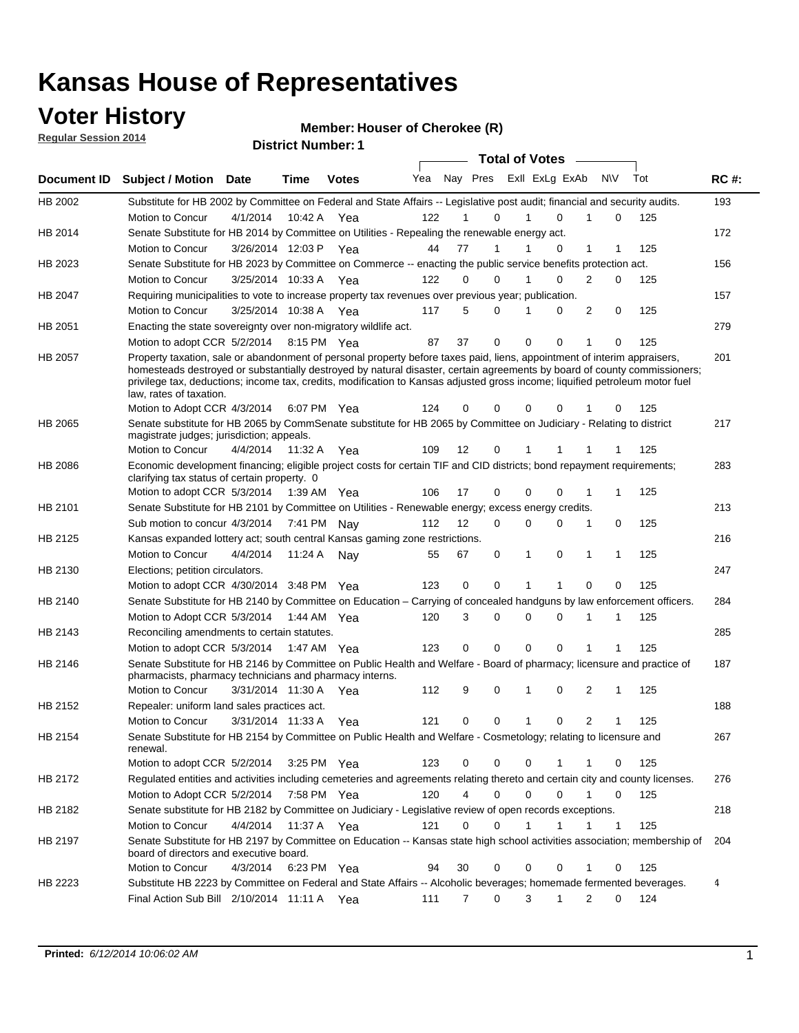### **Voter History**

**Regular Session 2014**

#### **Member: Houser of Cherokee (R)**

|                | <b>DISTRICT MAILINGLE</b><br><b>Total of Votes</b>                                                                                                                                                                                                                                                                                                                                                               |                       |             |              |     |    |                     |  |             |                |           |             |     |             |
|----------------|------------------------------------------------------------------------------------------------------------------------------------------------------------------------------------------------------------------------------------------------------------------------------------------------------------------------------------------------------------------------------------------------------------------|-----------------------|-------------|--------------|-----|----|---------------------|--|-------------|----------------|-----------|-------------|-----|-------------|
|                | Document ID Subject / Motion Date                                                                                                                                                                                                                                                                                                                                                                                |                       | Time        | <b>Votes</b> | Yea |    | Nay Pres            |  |             | Exll ExLg ExAb | <b>NV</b> |             | Tot | <b>RC#:</b> |
| HB 2002        | Substitute for HB 2002 by Committee on Federal and State Affairs -- Legislative post audit; financial and security audits.                                                                                                                                                                                                                                                                                       |                       |             |              |     |    |                     |  |             |                |           |             |     | 193         |
|                | Motion to Concur                                                                                                                                                                                                                                                                                                                                                                                                 | 4/1/2014              | 10:42 A     | Yea          | 122 |    | 0                   |  |             | 0              |           | 0           | 125 |             |
| HB 2014        | Senate Substitute for HB 2014 by Committee on Utilities - Repealing the renewable energy act.                                                                                                                                                                                                                                                                                                                    |                       |             |              |     |    |                     |  |             |                |           |             |     | 172         |
|                | Motion to Concur                                                                                                                                                                                                                                                                                                                                                                                                 | 3/26/2014 12:03 P Yea |             |              | 44  | 77 | 1                   |  |             | 0              | 1         |             | 125 |             |
| HB 2023        | Senate Substitute for HB 2023 by Committee on Commerce -- enacting the public service benefits protection act.                                                                                                                                                                                                                                                                                                   |                       |             |              |     |    |                     |  |             |                |           |             |     | 156         |
|                | Motion to Concur                                                                                                                                                                                                                                                                                                                                                                                                 | 3/25/2014 10:33 A Yea |             |              | 122 |    | 0<br>0              |  |             | 0              | 2         | 0           | 125 |             |
| HB 2047        | Requiring municipalities to vote to increase property tax revenues over previous year; publication.                                                                                                                                                                                                                                                                                                              |                       |             |              |     |    |                     |  |             |                |           |             |     | 157         |
|                | Motion to Concur                                                                                                                                                                                                                                                                                                                                                                                                 | 3/25/2014 10:38 A     |             | Yea          | 117 |    | 5<br>0              |  |             | 0              | 2         | 0           | 125 |             |
| HB 2051        | Enacting the state sovereignty over non-migratory wildlife act.                                                                                                                                                                                                                                                                                                                                                  |                       |             |              |     |    |                     |  |             |                |           |             |     | 279         |
|                | Motion to adopt CCR 5/2/2014                                                                                                                                                                                                                                                                                                                                                                                     |                       |             | 8:15 PM Yea  | 87  | 37 | 0                   |  | $\Omega$    | $\Omega$       | 1         | 0           | 125 |             |
| HB 2057        | Property taxation, sale or abandonment of personal property before taxes paid, liens, appointment of interim appraisers,<br>homesteads destroyed or substantially destroyed by natural disaster, certain agreements by board of county commissioners;<br>privilege tax, deductions; income tax, credits, modification to Kansas adjusted gross income; liquified petroleum motor fuel<br>law, rates of taxation. |                       |             |              |     |    |                     |  |             |                |           |             |     | 201         |
|                | Motion to Adopt CCR 4/3/2014                                                                                                                                                                                                                                                                                                                                                                                     |                       |             | 6:07 PM Yea  | 124 |    | 0<br>0              |  | $\Omega$    | 0              |           | 0           | 125 |             |
| <b>HB 2065</b> | Senate substitute for HB 2065 by CommSenate substitute for HB 2065 by Committee on Judiciary - Relating to district<br>magistrate judges; jurisdiction; appeals.                                                                                                                                                                                                                                                 |                       |             |              |     |    |                     |  |             |                |           |             |     | 217         |
|                | Motion to Concur                                                                                                                                                                                                                                                                                                                                                                                                 | 4/4/2014              | 11:32 A     | Yea          | 109 | 12 | 0                   |  | 1           | -1             | 1         |             | 125 |             |
| HB 2086        | Economic development financing; eligible project costs for certain TIF and CID districts; bond repayment requirements;<br>clarifying tax status of certain property. 0                                                                                                                                                                                                                                           |                       |             |              |     |    |                     |  |             |                |           |             |     | 283         |
|                | Motion to adopt CCR 5/3/2014                                                                                                                                                                                                                                                                                                                                                                                     |                       | 1:39 AM Yea |              | 106 | 17 | 0                   |  | $\mathbf 0$ | $\Omega$       |           | 1           | 125 |             |
| HB 2101        | Senate Substitute for HB 2101 by Committee on Utilities - Renewable energy; excess energy credits.                                                                                                                                                                                                                                                                                                               |                       |             |              |     |    |                     |  |             |                |           |             |     | 213         |
|                | Sub motion to concur 4/3/2014                                                                                                                                                                                                                                                                                                                                                                                    |                       |             | 7:41 PM Nay  | 112 | 12 | 0                   |  | $\mathbf 0$ | 0              | 1         | 0           | 125 |             |
| HB 2125        | Kansas expanded lottery act; south central Kansas gaming zone restrictions.                                                                                                                                                                                                                                                                                                                                      |                       |             |              |     |    |                     |  |             |                |           |             |     | 216         |
|                | Motion to Concur                                                                                                                                                                                                                                                                                                                                                                                                 | 4/4/2014              | 11:24 A     | Nav          | 55  | 67 | 0                   |  | 1           | 0              | 1         | 1           | 125 |             |
| HB 2130        | Elections; petition circulators.                                                                                                                                                                                                                                                                                                                                                                                 |                       |             |              |     |    |                     |  |             |                |           |             |     | 247         |
|                | Motion to adopt CCR 4/30/2014 3:48 PM Yea                                                                                                                                                                                                                                                                                                                                                                        |                       |             |              | 123 |    | 0<br>0              |  | 1           | 1              | 0         | 0           | 125 |             |
| HB 2140        | Senate Substitute for HB 2140 by Committee on Education – Carrying of concealed handguns by law enforcement officers.                                                                                                                                                                                                                                                                                            |                       |             |              |     |    |                     |  |             |                |           |             |     | 284         |
|                | Motion to Adopt CCR 5/3/2014                                                                                                                                                                                                                                                                                                                                                                                     |                       |             | 1:44 AM Yea  | 120 |    | 3<br>0              |  | $\mathbf 0$ | 0              | 1         | 1           | 125 |             |
| HB 2143        | Reconciling amendments to certain statutes.                                                                                                                                                                                                                                                                                                                                                                      |                       |             |              |     |    |                     |  |             |                |           |             |     | 285         |
|                | Motion to adopt CCR 5/3/2014                                                                                                                                                                                                                                                                                                                                                                                     |                       |             | 1:47 AM Yea  | 123 |    | 0<br>0              |  | $\mathbf 0$ | 0              | 1         | 1           | 125 |             |
| HB 2146        | Senate Substitute for HB 2146 by Committee on Public Health and Welfare - Board of pharmacy; licensure and practice of<br>pharmacists, pharmacy technicians and pharmacy interns.                                                                                                                                                                                                                                |                       |             |              |     |    |                     |  |             |                |           |             |     | 187         |
|                | Motion to Concur                                                                                                                                                                                                                                                                                                                                                                                                 | 3/31/2014 11:30 A     |             | Yea          | 112 |    | 9<br>0              |  | 1           | 0              | 2         | 1           | 125 |             |
| HB 2152        | Repealer: uniform land sales practices act.                                                                                                                                                                                                                                                                                                                                                                      |                       |             |              |     |    |                     |  |             |                |           |             |     | 188         |
|                | <b>Motion to Concur</b>                                                                                                                                                                                                                                                                                                                                                                                          | 3/31/2014 11:33 A     |             | Yea          | 121 |    | 0<br>0              |  | 1           | 0              | 2         | 1           | 125 |             |
| HB 2154        | Senate Substitute for HB 2154 by Committee on Public Health and Welfare - Cosmetology; relating to licensure and<br>renewal.                                                                                                                                                                                                                                                                                     |                       |             |              |     |    |                     |  |             |                |           |             |     | 267         |
|                | Motion to adopt CCR 5/2/2014                                                                                                                                                                                                                                                                                                                                                                                     |                       | 3:25 PM Yea |              | 123 |    | 0<br>0              |  | 0           |                | 1         | 0           | 125 |             |
| HB 2172        | Regulated entities and activities including cemeteries and agreements relating thereto and certain city and county licenses.                                                                                                                                                                                                                                                                                     |                       |             |              |     |    |                     |  |             |                |           |             |     | 276         |
|                | Motion to Adopt CCR 5/2/2014                                                                                                                                                                                                                                                                                                                                                                                     |                       |             | 7:58 PM Yea  | 120 |    | 4<br>$\mathbf 0$    |  | $\mathbf 0$ | $\Omega$       | 1         | $\mathbf 0$ | 125 |             |
| HB 2182        | Senate substitute for HB 2182 by Committee on Judiciary - Legislative review of open records exceptions.                                                                                                                                                                                                                                                                                                         |                       |             |              |     |    |                     |  |             |                |           |             |     | 218         |
|                | Motion to Concur                                                                                                                                                                                                                                                                                                                                                                                                 | 4/4/2014              |             | 11:37 A Yea  | 121 |    | 0<br>0              |  | 1           | 1              | 1         | 1           | 125 |             |
| HB 2197        | Senate Substitute for HB 2197 by Committee on Education -- Kansas state high school activities association; membership of<br>board of directors and executive board.                                                                                                                                                                                                                                             |                       |             |              |     |    |                     |  |             |                |           |             |     | 204         |
|                | Motion to Concur                                                                                                                                                                                                                                                                                                                                                                                                 | 4/3/2014              |             | 6:23 PM Yea  | 94  | 30 | 0                   |  | 0           | 0              | 1         | 0           | 125 |             |
| HB 2223        | Substitute HB 2223 by Committee on Federal and State Affairs -- Alcoholic beverages; homemade fermented beverages.                                                                                                                                                                                                                                                                                               |                       |             |              |     |    |                     |  |             |                |           |             |     | 4           |
|                | Final Action Sub Bill 2/10/2014 11:11 A Yea                                                                                                                                                                                                                                                                                                                                                                      |                       |             |              | 111 |    | $\overline{7}$<br>0 |  | 3           | 1              | 2         | 0           | 124 |             |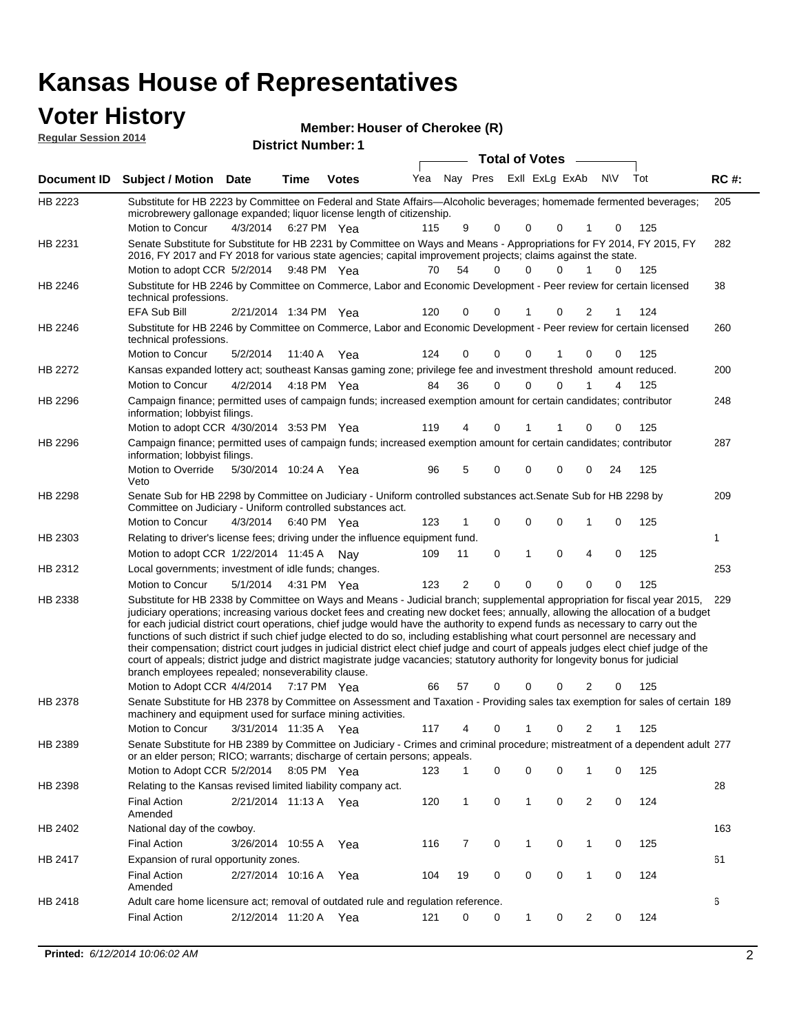# **Voter History**<br> **Regular Session 2014**

| <b>VULCI THISLUI Y</b><br><b>Regular Session 2014</b> |                                                                                                                                                                                                                                                                                                                                                                                                                                                                                                                                                                                                                                                                                                                                                                                                                                                                                                                 |                       | <b>District Number: 1</b> | Member: Houser of Cherokee (R) |     |    |   |              |                             |                |    |     |             |
|-------------------------------------------------------|-----------------------------------------------------------------------------------------------------------------------------------------------------------------------------------------------------------------------------------------------------------------------------------------------------------------------------------------------------------------------------------------------------------------------------------------------------------------------------------------------------------------------------------------------------------------------------------------------------------------------------------------------------------------------------------------------------------------------------------------------------------------------------------------------------------------------------------------------------------------------------------------------------------------|-----------------------|---------------------------|--------------------------------|-----|----|---|--------------|-----------------------------|----------------|----|-----|-------------|
|                                                       |                                                                                                                                                                                                                                                                                                                                                                                                                                                                                                                                                                                                                                                                                                                                                                                                                                                                                                                 |                       |                           |                                |     |    |   |              | <b>Total of Votes</b>       |                |    |     |             |
| Document ID                                           | <b>Subject / Motion Date</b>                                                                                                                                                                                                                                                                                                                                                                                                                                                                                                                                                                                                                                                                                                                                                                                                                                                                                    |                       | <b>Time</b>               | <b>Votes</b>                   | Yea |    |   |              | Nay Pres ExII ExLg ExAb N\V |                |    | Tot | <b>RC#:</b> |
| HB 2223                                               | Substitute for HB 2223 by Committee on Federal and State Affairs—Alcoholic beverages; homemade fermented beverages;<br>microbrewery gallonage expanded; liquor license length of citizenship.<br>Motion to Concur                                                                                                                                                                                                                                                                                                                                                                                                                                                                                                                                                                                                                                                                                               | 4/3/2014              | 6:27 PM Yea               |                                | 115 | 9  | 0 | $\Omega$     | 0                           | 1              | 0  | 125 | 205         |
| HB 2231                                               | Senate Substitute for Substitute for HB 2231 by Committee on Ways and Means - Appropriations for FY 2014, FY 2015, FY<br>2016, FY 2017 and FY 2018 for various state agencies; capital improvement projects; claims against the state.                                                                                                                                                                                                                                                                                                                                                                                                                                                                                                                                                                                                                                                                          |                       |                           |                                |     |    |   |              |                             |                |    |     | 282         |
| HB 2246                                               | Motion to adopt CCR 5/2/2014 9:48 PM Yea<br>Substitute for HB 2246 by Committee on Commerce, Labor and Economic Development - Peer review for certain licensed<br>technical professions.                                                                                                                                                                                                                                                                                                                                                                                                                                                                                                                                                                                                                                                                                                                        |                       |                           |                                | 70  | 54 | 0 | $\Omega$     | 0                           | 1              | 0  | 125 | 38          |
| HB 2246                                               | EFA Sub Bill<br>Substitute for HB 2246 by Committee on Commerce, Labor and Economic Development - Peer review for certain licensed                                                                                                                                                                                                                                                                                                                                                                                                                                                                                                                                                                                                                                                                                                                                                                              | 2/21/2014 1:34 PM Yea |                           |                                | 120 | 0  | 0 | 1            | 0                           | $\overline{2}$ | 1  | 124 | 260         |
|                                                       | technical professions.<br>Motion to Concur                                                                                                                                                                                                                                                                                                                                                                                                                                                                                                                                                                                                                                                                                                                                                                                                                                                                      | 5/2/2014              | 11:40 A                   | Yea                            | 124 | 0  | 0 | 0            |                             | 0              | 0  | 125 |             |
| HB 2272                                               | Kansas expanded lottery act; southeast Kansas gaming zone; privilege fee and investment threshold amount reduced.<br>Motion to Concur                                                                                                                                                                                                                                                                                                                                                                                                                                                                                                                                                                                                                                                                                                                                                                           | 4/2/2014              | 4:18 PM Yea               |                                | 84  | 36 | 0 | $\Omega$     | 0                           |                | 4  | 125 | 200         |
| HB 2296                                               | Campaign finance; permitted uses of campaign funds; increased exemption amount for certain candidates; contributor<br>information; lobbyist filings.                                                                                                                                                                                                                                                                                                                                                                                                                                                                                                                                                                                                                                                                                                                                                            |                       |                           |                                |     |    |   |              |                             |                |    |     | 248         |
| HB 2296                                               | Motion to adopt CCR 4/30/2014 3:53 PM Yea<br>Campaign finance; permitted uses of campaign funds; increased exemption amount for certain candidates; contributor<br>information; lobbyist filings.                                                                                                                                                                                                                                                                                                                                                                                                                                                                                                                                                                                                                                                                                                               |                       |                           |                                | 119 | 4  | 0 |              |                             | 0              | 0  | 125 | 287         |
|                                                       | Motion to Override<br>Veto                                                                                                                                                                                                                                                                                                                                                                                                                                                                                                                                                                                                                                                                                                                                                                                                                                                                                      | 5/30/2014 10:24 A     |                           | Yea                            | 96  | 5  | 0 | 0            | 0                           | 0              | 24 | 125 |             |
| HB 2298                                               | Senate Sub for HB 2298 by Committee on Judiciary - Uniform controlled substances act. Senate Sub for HB 2298 by<br>Committee on Judiciary - Uniform controlled substances act.                                                                                                                                                                                                                                                                                                                                                                                                                                                                                                                                                                                                                                                                                                                                  |                       |                           |                                |     |    |   |              |                             |                |    |     | 209         |
|                                                       | Motion to Concur                                                                                                                                                                                                                                                                                                                                                                                                                                                                                                                                                                                                                                                                                                                                                                                                                                                                                                | 4/3/2014 6:40 PM Yea  |                           |                                | 123 | 1  | 0 | 0            | 0                           | 1              | 0  | 125 |             |
| HB 2303                                               | Relating to driver's license fees; driving under the influence equipment fund.                                                                                                                                                                                                                                                                                                                                                                                                                                                                                                                                                                                                                                                                                                                                                                                                                                  |                       |                           |                                |     |    |   |              |                             |                |    |     | 1           |
|                                                       | Motion to adopt CCR 1/22/2014 11:45 A Nay                                                                                                                                                                                                                                                                                                                                                                                                                                                                                                                                                                                                                                                                                                                                                                                                                                                                       |                       |                           |                                | 109 | 11 | 0 | 1            | 0                           | 4              | 0  | 125 |             |
| HB 2312                                               | Local governments; investment of idle funds; changes.                                                                                                                                                                                                                                                                                                                                                                                                                                                                                                                                                                                                                                                                                                                                                                                                                                                           |                       |                           |                                |     |    |   |              |                             |                |    |     | 253         |
|                                                       | Motion to Concur                                                                                                                                                                                                                                                                                                                                                                                                                                                                                                                                                                                                                                                                                                                                                                                                                                                                                                | 5/1/2014              | 4:31 PM Yea               |                                | 123 | 2  | 0 | $\mathbf 0$  | 0                           | $\mathbf 0$    | 0  | 125 |             |
| HB 2338                                               | Substitute for HB 2338 by Committee on Ways and Means - Judicial branch; supplemental appropriation for fiscal year 2015,<br>judiciary operations; increasing various docket fees and creating new docket fees; annually, allowing the allocation of a budget<br>for each judicial district court operations, chief judge would have the authority to expend funds as necessary to carry out the<br>functions of such district if such chief judge elected to do so, including establishing what court personnel are necessary and<br>their compensation; district court judges in judicial district elect chief judge and court of appeals judges elect chief judge of the<br>court of appeals; district judge and district magistrate judge vacancies; statutory authority for longevity bonus for judicial<br>branch employees repealed; nonseverability clause.<br>Motion to Adopt CCR 4/4/2014 7:17 PM Yea |                       |                           |                                | 66  | 57 | 0 | 0            | $\Omega$                    | 2              | 0  | 125 | 229         |
| HB 2378                                               | Senate Substitute for HB 2378 by Committee on Assessment and Taxation - Providing sales tax exemption for sales of certain 189<br>machinery and equipment used for surface mining activities.                                                                                                                                                                                                                                                                                                                                                                                                                                                                                                                                                                                                                                                                                                                   |                       |                           |                                |     |    |   |              |                             |                |    |     |             |
|                                                       | Motion to Concur                                                                                                                                                                                                                                                                                                                                                                                                                                                                                                                                                                                                                                                                                                                                                                                                                                                                                                | 3/31/2014 11:35 A     |                           | Yea                            | 117 | 4  | 0 | 1            | 0                           | 2              | 1  | 125 |             |
| HB 2389                                               | Senate Substitute for HB 2389 by Committee on Judiciary - Crimes and criminal procedure; mistreatment of a dependent adult 277<br>or an elder person; RICO; warrants; discharge of certain persons; appeals.                                                                                                                                                                                                                                                                                                                                                                                                                                                                                                                                                                                                                                                                                                    |                       |                           |                                |     |    |   |              |                             |                |    |     |             |
|                                                       | Motion to Adopt CCR 5/2/2014 8:05 PM Yea                                                                                                                                                                                                                                                                                                                                                                                                                                                                                                                                                                                                                                                                                                                                                                                                                                                                        |                       |                           |                                | 123 | 1  | 0 | 0            | 0                           | 1              | 0  | 125 |             |
| HB 2398                                               | Relating to the Kansas revised limited liability company act.                                                                                                                                                                                                                                                                                                                                                                                                                                                                                                                                                                                                                                                                                                                                                                                                                                                   |                       |                           |                                |     |    |   |              |                             |                |    |     | 28          |
|                                                       | <b>Final Action</b><br>Amended                                                                                                                                                                                                                                                                                                                                                                                                                                                                                                                                                                                                                                                                                                                                                                                                                                                                                  | 2/21/2014 11:13 A Yea |                           |                                | 120 | 1  | 0 | 1            | 0                           | $\overline{2}$ | 0  | 124 |             |
| HB 2402                                               | National day of the cowboy.                                                                                                                                                                                                                                                                                                                                                                                                                                                                                                                                                                                                                                                                                                                                                                                                                                                                                     |                       |                           |                                |     |    |   |              |                             |                |    |     | 163         |
|                                                       | <b>Final Action</b>                                                                                                                                                                                                                                                                                                                                                                                                                                                                                                                                                                                                                                                                                                                                                                                                                                                                                             | 3/26/2014 10:55 A     |                           | Yea                            | 116 | 7  | 0 | $\mathbf{1}$ | 0                           | $\mathbf{1}$   | 0  | 125 |             |
| HB 2417                                               | Expansion of rural opportunity zones.<br><b>Final Action</b>                                                                                                                                                                                                                                                                                                                                                                                                                                                                                                                                                                                                                                                                                                                                                                                                                                                    | 2/27/2014 10:16 A     |                           | Yea                            | 104 | 19 | 0 | 0            | 0                           | $\mathbf{1}$   | 0  | 124 | 61          |

2/12/2014 Final Action Yea 124 11:20 A 121 0 0 0 20 1

Adult care home licensure act; removal of outdated rule and regulation reference.

HB 2418

Amended

6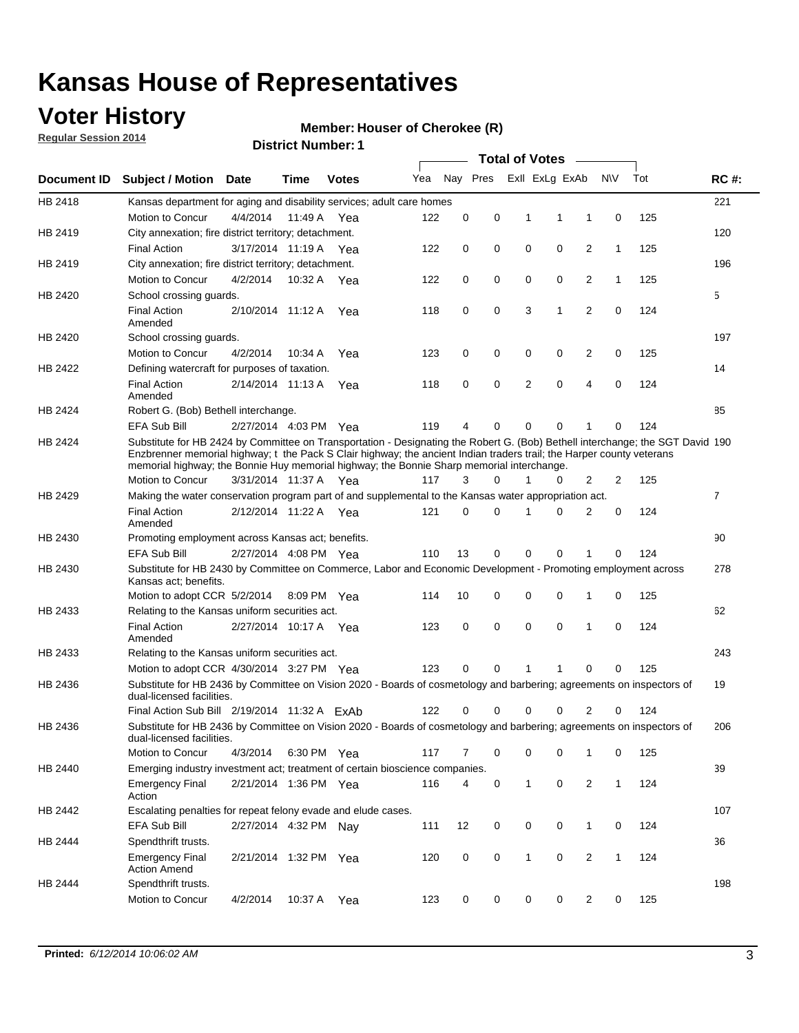### **Voter History**

**Regular Session 2014**

#### **Member: Houser of Cherokee (R)**

|                    |                                                                                                                                                                                                                                                                                                                                                      |                       | <b>DISTRICT MAILINGL.</b> I |              |     |          |          |              | <b>Total of Votes</b> |                |              |     |                |
|--------------------|------------------------------------------------------------------------------------------------------------------------------------------------------------------------------------------------------------------------------------------------------------------------------------------------------------------------------------------------------|-----------------------|-----------------------------|--------------|-----|----------|----------|--------------|-----------------------|----------------|--------------|-----|----------------|
| <b>Document ID</b> | <b>Subject / Motion Date</b>                                                                                                                                                                                                                                                                                                                         |                       | Time                        | <b>Votes</b> | Yea |          | Nay Pres |              | Exll ExLg ExAb        |                | <b>NV</b>    | Tot | <b>RC#:</b>    |
| HB 2418            | Kansas department for aging and disability services; adult care homes                                                                                                                                                                                                                                                                                |                       |                             |              |     |          |          |              |                       |                |              |     | 221            |
|                    | Motion to Concur                                                                                                                                                                                                                                                                                                                                     | 4/4/2014              | 11:49 A                     | Yea          | 122 | 0        | 0        | 1            | 1                     | $\mathbf{1}$   | 0            | 125 |                |
| HB 2419            | City annexation; fire district territory; detachment.                                                                                                                                                                                                                                                                                                |                       |                             |              |     |          |          |              |                       |                |              |     | 120            |
|                    | <b>Final Action</b>                                                                                                                                                                                                                                                                                                                                  | 3/17/2014 11:19 A Yea |                             |              | 122 | 0        | 0        | 0            | 0                     | $\overline{2}$ | 1            | 125 |                |
| HB 2419            | City annexation; fire district territory; detachment.                                                                                                                                                                                                                                                                                                |                       |                             |              |     |          |          |              |                       |                |              |     | 196            |
|                    | Motion to Concur                                                                                                                                                                                                                                                                                                                                     | 4/2/2014              | 10:32 A Yea                 |              | 122 | 0        | 0        | 0            | 0                     | $\overline{2}$ | 1            | 125 |                |
| HB 2420            | School crossing guards.                                                                                                                                                                                                                                                                                                                              |                       |                             |              |     |          |          |              |                       |                |              |     | 5              |
|                    | <b>Final Action</b><br>Amended                                                                                                                                                                                                                                                                                                                       | 2/10/2014 11:12 A     |                             | Yea          | 118 | 0        | 0        | 3            | 1                     | $\overline{2}$ | $\mathbf 0$  | 124 |                |
| HB 2420            | School crossing guards.                                                                                                                                                                                                                                                                                                                              |                       |                             |              |     |          |          |              |                       |                |              |     | 197            |
|                    | Motion to Concur                                                                                                                                                                                                                                                                                                                                     | 4/2/2014              | 10:34 A                     | Yea          | 123 | 0        | 0        | 0            | 0                     | $\overline{2}$ | $\mathbf 0$  | 125 |                |
| HB 2422            | Defining watercraft for purposes of taxation.                                                                                                                                                                                                                                                                                                        |                       |                             |              |     |          |          |              |                       |                |              |     | 14             |
|                    | <b>Final Action</b><br>Amended                                                                                                                                                                                                                                                                                                                       | 2/14/2014 11:13 A     |                             | Yea          | 118 | 0        | 0        | 2            | $\mathbf 0$           | 4              | $\mathbf 0$  | 124 |                |
| HB 2424            | Robert G. (Bob) Bethell interchange.                                                                                                                                                                                                                                                                                                                 |                       |                             |              |     |          |          |              |                       |                |              |     | 85             |
|                    | <b>EFA Sub Bill</b>                                                                                                                                                                                                                                                                                                                                  | 2/27/2014 4:03 PM Yea |                             |              | 119 | 4        | 0        | 0            | 0                     | 1              | 0            | 124 |                |
| HB 2424            | Substitute for HB 2424 by Committee on Transportation - Designating the Robert G. (Bob) Bethell interchange; the SGT David 190<br>Enzbrenner memorial highway; t the Pack S Clair highway; the ancient Indian traders trail; the Harper county veterans<br>memorial highway; the Bonnie Huy memorial highway; the Bonnie Sharp memorial interchange. |                       |                             |              |     |          |          |              |                       |                |              |     |                |
|                    | Motion to Concur                                                                                                                                                                                                                                                                                                                                     | 3/31/2014 11:37 A Yea |                             |              | 117 | 3        | 0        | 1            | 0                     | 2              | 2            | 125 |                |
| HB 2429            | Making the water conservation program part of and supplemental to the Kansas water appropriation act.                                                                                                                                                                                                                                                |                       |                             |              |     |          |          |              |                       |                |              |     | $\overline{7}$ |
|                    | <b>Final Action</b><br>Amended                                                                                                                                                                                                                                                                                                                       | 2/12/2014 11:22 A Yea |                             |              | 121 | $\Omega$ | 0        | 1            | $\Omega$              | $\overline{2}$ | $\mathbf 0$  | 124 |                |
| HB 2430            | Promoting employment across Kansas act; benefits.                                                                                                                                                                                                                                                                                                    |                       |                             |              |     |          |          |              |                       |                |              |     | 90             |
|                    | <b>EFA Sub Bill</b>                                                                                                                                                                                                                                                                                                                                  | 2/27/2014 4:08 PM Yea |                             |              | 110 | 13       | 0        | 0            | 0                     |                | 0            | 124 |                |
| HB 2430            | Substitute for HB 2430 by Committee on Commerce, Labor and Economic Development - Promoting employment across<br>Kansas act; benefits.                                                                                                                                                                                                               |                       |                             |              |     |          |          |              |                       |                |              |     | 278            |
|                    | Motion to adopt CCR 5/2/2014                                                                                                                                                                                                                                                                                                                         |                       | 8:09 PM Yea                 |              | 114 | 10       | 0        | 0            | 0                     | 1              | 0            | 125 |                |
| HB 2433            | Relating to the Kansas uniform securities act.                                                                                                                                                                                                                                                                                                       |                       |                             |              |     |          |          |              |                       |                |              |     | 62             |
|                    | <b>Final Action</b><br>Amended                                                                                                                                                                                                                                                                                                                       | 2/27/2014 10:17 A Yea |                             |              | 123 | 0        | 0        | $\mathbf 0$  | 0                     | 1              | $\mathbf 0$  | 124 |                |
| HB 2433            | Relating to the Kansas uniform securities act.                                                                                                                                                                                                                                                                                                       |                       |                             |              |     |          |          |              |                       |                |              |     | 243            |
|                    | Motion to adopt CCR 4/30/2014 3:27 PM Yea                                                                                                                                                                                                                                                                                                            |                       |                             |              | 123 | $\Omega$ | 0        | 1            | 1                     | $\Omega$       | 0            | 125 |                |
| HB 2436            | Substitute for HB 2436 by Committee on Vision 2020 - Boards of cosmetology and barbering; agreements on inspectors of<br>dual-licensed facilities.                                                                                                                                                                                                   |                       |                             |              |     |          |          |              |                       |                |              |     | 19             |
|                    | Final Action Sub Bill 2/19/2014 11:32 A ExAb                                                                                                                                                                                                                                                                                                         |                       |                             |              | 122 | O        | O        |              | 0                     | 2              |              | 124 |                |
| HB 2436            | Substitute for HB 2436 by Committee on Vision 2020 - Boards of cosmetology and barbering; agreements on inspectors of<br>dual-licensed facilities.                                                                                                                                                                                                   |                       |                             |              |     |          |          |              |                       |                |              |     | 206            |
|                    | Motion to Concur                                                                                                                                                                                                                                                                                                                                     | 4/3/2014              | 6:30 PM Yea                 |              | 117 | 7        | 0        | 0            | 0                     | 1              | 0            | 125 |                |
| HB 2440            | Emerging industry investment act; treatment of certain bioscience companies.                                                                                                                                                                                                                                                                         |                       |                             |              |     |          |          |              |                       |                |              |     | 39             |
|                    | <b>Emergency Final</b><br>Action                                                                                                                                                                                                                                                                                                                     | 2/21/2014 1:36 PM Yea |                             |              | 116 | 4        | 0        | 1            | 0                     | $\overline{2}$ | $\mathbf{1}$ | 124 |                |
| HB 2442            | Escalating penalties for repeat felony evade and elude cases.                                                                                                                                                                                                                                                                                        |                       |                             |              |     |          |          |              |                       |                |              |     | 107            |
|                    | EFA Sub Bill                                                                                                                                                                                                                                                                                                                                         | 2/27/2014 4:32 PM Nay |                             |              | 111 | 12       | 0        | 0            | 0                     | $\mathbf{1}$   | 0            | 124 |                |
| HB 2444            | Spendthrift trusts.                                                                                                                                                                                                                                                                                                                                  |                       |                             |              |     |          |          |              |                       |                |              |     | 36             |
|                    | <b>Emergency Final</b><br><b>Action Amend</b>                                                                                                                                                                                                                                                                                                        | 2/21/2014 1:32 PM Yea |                             |              | 120 | 0        | 0        | $\mathbf{1}$ | 0                     | $\overline{c}$ | $\mathbf{1}$ | 124 |                |
| HB 2444            | Spendthrift trusts.                                                                                                                                                                                                                                                                                                                                  |                       |                             |              |     |          |          |              |                       |                |              |     | 198            |
|                    | Motion to Concur                                                                                                                                                                                                                                                                                                                                     | 4/2/2014              | 10:37 A Yea                 |              | 123 | 0        | 0        | 0            | 0                     | $\overline{2}$ | 0            | 125 |                |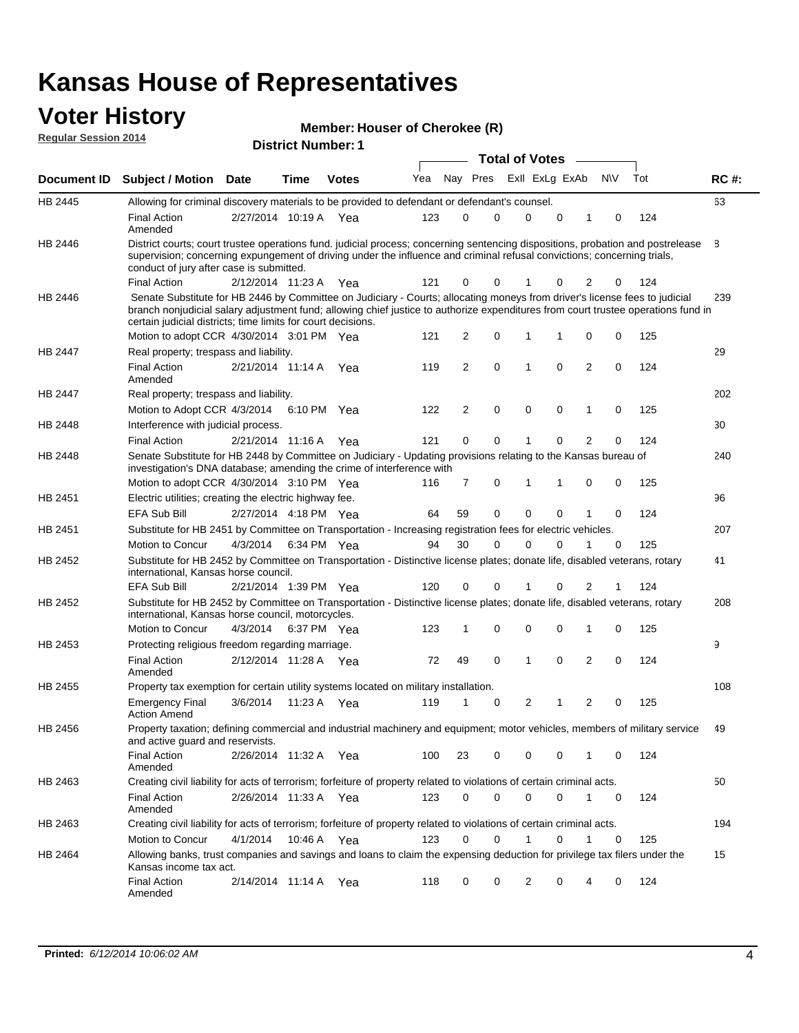# **Voter History Member: Regular Session 2014**

| Member: Houser of Cherokee (R) |
|--------------------------------|
|--------------------------------|

| דושב ווטופסטט ומוסף וח |                                                                                                                                                                                                                                                                                                                                                                              |                       | <b>District Number: 1</b> |              |     |                |             |   |                       |              |                |           |     |             |
|------------------------|------------------------------------------------------------------------------------------------------------------------------------------------------------------------------------------------------------------------------------------------------------------------------------------------------------------------------------------------------------------------------|-----------------------|---------------------------|--------------|-----|----------------|-------------|---|-----------------------|--------------|----------------|-----------|-----|-------------|
|                        |                                                                                                                                                                                                                                                                                                                                                                              |                       |                           |              |     |                |             |   | <b>Total of Votes</b> |              |                |           |     |             |
| Document ID            | Subject / Motion Date                                                                                                                                                                                                                                                                                                                                                        |                       | <b>Time</b>               | <b>Votes</b> | Yea |                | Nay Pres    |   | Exll ExLg ExAb        |              |                | <b>NV</b> | Tot | <b>RC#:</b> |
| HB 2445                | Allowing for criminal discovery materials to be provided to defendant or defendant's counsel.                                                                                                                                                                                                                                                                                |                       |                           |              |     |                |             |   |                       |              |                |           |     | 63          |
|                        | <b>Final Action</b><br>Amended                                                                                                                                                                                                                                                                                                                                               | 2/27/2014 10:19 A     |                           | Yea          | 123 | 0              |             | 0 | $\Omega$              | $\mathbf 0$  | 1              | 0         | 124 |             |
| HB 2446                | District courts; court trustee operations fund. judicial process; concerning sentencing dispositions, probation and postrelease<br>supervision; concerning expungement of driving under the influence and criminal refusal convictions; concerning trials,<br>conduct of jury after case is submitted.                                                                       |                       |                           |              |     |                |             |   |                       |              |                |           |     | 8           |
|                        | <b>Final Action</b>                                                                                                                                                                                                                                                                                                                                                          | 2/12/2014 11:23 A     |                           | Yea          | 121 | 0              |             | 0 |                       | 0            | 2              | 0         | 124 |             |
| HB 2446                | Senate Substitute for HB 2446 by Committee on Judiciary - Courts; allocating moneys from driver's license fees to judicial<br>branch nonjudicial salary adjustment fund; allowing chief justice to authorize expenditures from court trustee operations fund in<br>certain judicial districts; time limits for court decisions.<br>Motion to adopt CCR 4/30/2014 3:01 PM Yea |                       |                           |              | 121 | 2              | 0           |   | $\mathbf{1}$          | 1            | 0              | 0         | 125 | 239         |
| HB 2447                | Real property; trespass and liability.                                                                                                                                                                                                                                                                                                                                       |                       |                           |              |     |                |             |   |                       |              |                |           |     | 29          |
|                        | Final Action<br>Amended                                                                                                                                                                                                                                                                                                                                                      | 2/21/2014 11:14 A     |                           | Yea          | 119 | $\overline{2}$ | $\mathbf 0$ |   | $\mathbf{1}$          | $\mathbf{0}$ | $\overline{2}$ | 0         | 124 |             |
| <b>HB 2447</b>         | Real property; trespass and liability.                                                                                                                                                                                                                                                                                                                                       |                       |                           |              |     |                |             |   |                       |              |                |           |     | 202         |
|                        | Motion to Adopt CCR 4/3/2014 6:10 PM Yea                                                                                                                                                                                                                                                                                                                                     |                       |                           |              | 122 | $\overline{2}$ | $\mathbf 0$ |   | $\mathbf 0$           | 0            | 1              | 0         | 125 |             |
| <b>HB 2448</b>         | Interference with judicial process.                                                                                                                                                                                                                                                                                                                                          |                       |                           |              |     |                |             |   |                       |              |                |           |     | 30          |
|                        | <b>Final Action</b>                                                                                                                                                                                                                                                                                                                                                          | 2/21/2014 11:16 A     |                           | Yea          | 121 | 0              |             | 0 |                       | 0            | 2              | 0         | 124 |             |
| HB 2448                | Senate Substitute for HB 2448 by Committee on Judiciary - Updating provisions relating to the Kansas bureau of<br>investigation's DNA database; amending the crime of interference with                                                                                                                                                                                      |                       |                           |              |     |                |             |   |                       |              |                |           |     | 240         |
|                        | Motion to adopt CCR 4/30/2014 3:10 PM Yea                                                                                                                                                                                                                                                                                                                                    |                       |                           |              | 116 | 7              | 0           |   | 1                     | 1            | 0              | 0         | 125 |             |
| HB 2451                | Electric utilities; creating the electric highway fee.                                                                                                                                                                                                                                                                                                                       |                       |                           |              |     |                |             |   |                       |              |                |           |     | 96          |
|                        | <b>EFA Sub Bill</b>                                                                                                                                                                                                                                                                                                                                                          | 2/27/2014 4:18 PM Yea |                           |              | 64  | 59             | $\mathbf 0$ |   | $\Omega$              | 0            | 1              | 0         | 124 |             |
| HB 2451                | Substitute for HB 2451 by Committee on Transportation - Increasing registration fees for electric vehicles.                                                                                                                                                                                                                                                                  |                       |                           |              |     |                |             |   |                       |              |                |           |     | 207         |
|                        | Motion to Concur                                                                                                                                                                                                                                                                                                                                                             | 4/3/2014              | 6:34 PM Yea               |              | 94  | 30             |             | 0 | $\Omega$              | 0            | 1              | 0         | 125 |             |
| HB 2452                | Substitute for HB 2452 by Committee on Transportation - Distinctive license plates; donate life, disabled veterans, rotary<br>international, Kansas horse council.                                                                                                                                                                                                           |                       |                           |              |     |                |             |   |                       |              |                |           |     | 41          |
|                        | <b>EFA Sub Bill</b>                                                                                                                                                                                                                                                                                                                                                          | 2/21/2014 1:39 PM Yea |                           |              | 120 | 0              |             | 0 | 1                     | 0            | 2              |           | 124 |             |
| HB 2452                | Substitute for HB 2452 by Committee on Transportation - Distinctive license plates; donate life, disabled veterans, rotary<br>international, Kansas horse council, motorcycles.                                                                                                                                                                                              |                       |                           |              |     |                |             |   |                       |              |                |           |     | 208         |
|                        | Motion to Concur                                                                                                                                                                                                                                                                                                                                                             | 4/3/2014              |                           | 6:37 PM Yea  | 123 | 1              | 0           |   | 0                     | 0            | $\mathbf{1}$   | 0         | 125 |             |
| HB 2453                | Protecting religious freedom regarding marriage.                                                                                                                                                                                                                                                                                                                             |                       |                           |              |     |                |             |   |                       |              |                |           |     | 9           |
|                        | <b>Final Action</b><br>Amended                                                                                                                                                                                                                                                                                                                                               | 2/12/2014 11:28 A     |                           | Yea          | 72  | 49             | 0           |   | $\mathbf{1}$          | 0            | $\overline{2}$ | 0         | 124 |             |
| HB 2455                | Property tax exemption for certain utility systems located on military installation.                                                                                                                                                                                                                                                                                         |                       |                           |              |     |                |             |   |                       |              |                |           |     | 108         |
|                        | <b>Emergency Final</b><br><b>Action Amend</b>                                                                                                                                                                                                                                                                                                                                | 3/6/2014              | 11:23 A                   | Yea          | 119 | 1              | 0           |   | $\overline{2}$        | 1            | $\overline{2}$ | 0         | 125 |             |
| HB 2456                | Property taxation; defining commercial and industrial machinery and equipment; motor vehicles, members of military service<br>and active guard and reservists.                                                                                                                                                                                                               |                       |                           |              |     |                |             |   |                       |              |                |           |     | 49          |
|                        | <b>Final Action</b><br>Amended                                                                                                                                                                                                                                                                                                                                               | 2/26/2014 11:32 A Yea |                           |              | 100 | 23             |             | 0 | 0                     | 0            | 1              | 0         | 124 |             |
| HB 2463                | Creating civil liability for acts of terrorism; forfeiture of property related to violations of certain criminal acts.                                                                                                                                                                                                                                                       |                       |                           |              |     |                |             |   |                       |              |                |           |     | 50          |
|                        | Final Action<br>Amended                                                                                                                                                                                                                                                                                                                                                      | 2/26/2014 11:33 A Yea |                           |              | 123 | 0              | $\mathbf 0$ |   | $\mathbf 0$           | 0            | $\mathbf{1}$   | 0         | 124 |             |
| HB 2463                | Creating civil liability for acts of terrorism; forfeiture of property related to violations of certain criminal acts.                                                                                                                                                                                                                                                       |                       |                           |              |     |                |             |   |                       |              |                |           |     | 194         |
|                        | Motion to Concur                                                                                                                                                                                                                                                                                                                                                             | 4/1/2014              | 10:46 A                   | Yea          | 123 | 0              |             | 0 | 1                     | 0            | 1              | 0         | 125 |             |
| HB 2464                | Allowing banks, trust companies and savings and loans to claim the expensing deduction for privilege tax filers under the<br>Kansas income tax act.                                                                                                                                                                                                                          |                       |                           |              |     |                |             |   |                       |              |                |           |     | 15          |
|                        | <b>Final Action</b><br>Amended                                                                                                                                                                                                                                                                                                                                               | 2/14/2014 11:14 A Yea |                           |              | 118 | 0              |             | 0 | 2                     | 0            | 4              | 0         | 124 |             |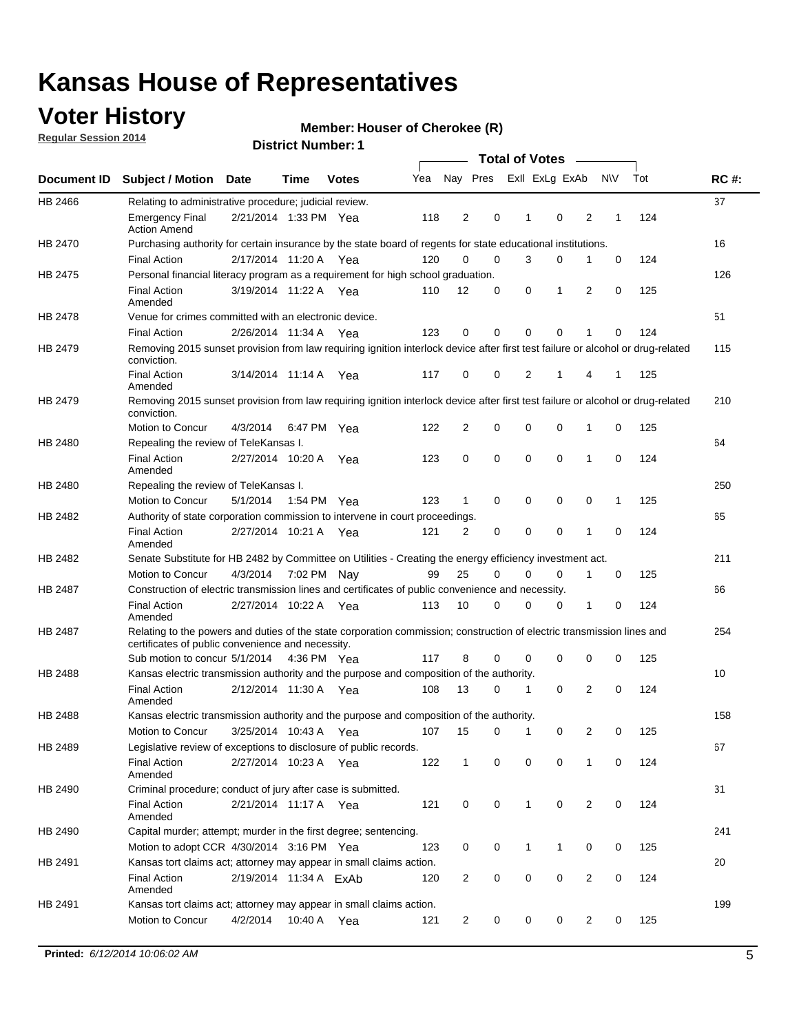### **Voter History**

**Regular Session 2014**

#### **Member: Houser of Cherokee (R)**

|                    |                                                                                                                                                                             |                        |             |              |     |                |             | <b>Total of Votes</b> |              |                |                |           |     |             |
|--------------------|-----------------------------------------------------------------------------------------------------------------------------------------------------------------------------|------------------------|-------------|--------------|-----|----------------|-------------|-----------------------|--------------|----------------|----------------|-----------|-----|-------------|
| <b>Document ID</b> | <b>Subject / Motion</b>                                                                                                                                                     | Date                   | Time        | <b>Votes</b> | Yea |                | Nay Pres    |                       |              | Exll ExLg ExAb |                | <b>NV</b> | Tot | <b>RC#:</b> |
| HB 2466            | Relating to administrative procedure; judicial review.                                                                                                                      |                        |             |              |     |                |             |                       |              |                |                |           |     | 37          |
|                    | <b>Emergency Final</b><br><b>Action Amend</b>                                                                                                                               | 2/21/2014 1:33 PM Yea  |             |              | 118 | 2              | 0           |                       | 1            | $\mathbf 0$    | 2              | 1         | 124 |             |
| <b>HB 2470</b>     | Purchasing authority for certain insurance by the state board of regents for state educational institutions.                                                                |                        |             |              |     |                |             |                       |              |                |                |           |     | 16          |
|                    | <b>Final Action</b>                                                                                                                                                         | 2/17/2014 11:20 A Yea  |             |              | 120 | 0              | 0           |                       | 3            | 0              | 1              | 0         | 124 |             |
| HB 2475            | Personal financial literacy program as a requirement for high school graduation.                                                                                            |                        |             |              |     |                |             |                       |              |                |                |           |     | 126         |
|                    | <b>Final Action</b><br>Amended                                                                                                                                              | 3/19/2014 11:22 A Yea  |             |              | 110 | 12             | 0           |                       | 0            | 1              | 2              | 0         | 125 |             |
| HB 2478            | Venue for crimes committed with an electronic device.                                                                                                                       |                        |             |              |     |                |             |                       |              |                |                |           |     | 51          |
|                    | <b>Final Action</b>                                                                                                                                                         | 2/26/2014 11:34 A      |             | Yea          | 123 | $\mathbf 0$    | 0           |                       | $\Omega$     | $\mathbf 0$    | 1              | 0         | 124 |             |
| HB 2479            | Removing 2015 sunset provision from law requiring ignition interlock device after first test failure or alcohol or drug-related<br>conviction.                              |                        |             |              |     |                |             |                       |              |                |                |           |     | 115         |
|                    | <b>Final Action</b><br>Amended                                                                                                                                              | 3/14/2014 11:14 A      |             | Yea          | 117 | 0              | 0           |                       | 2            | 1              | 4              | 1         | 125 |             |
| HB 2479            | Removing 2015 sunset provision from law requiring ignition interlock device after first test failure or alcohol or drug-related<br>conviction.                              |                        |             |              |     |                |             |                       |              |                |                |           |     | 210         |
|                    | Motion to Concur                                                                                                                                                            | 4/3/2014               |             | 6:47 PM Yea  | 122 | 2              | 0           |                       | $\mathbf 0$  | 0              | 1              | 0         | 125 |             |
| HB 2480            | Repealing the review of TeleKansas I.                                                                                                                                       |                        |             |              |     |                |             |                       |              |                |                |           |     | 64          |
|                    | <b>Final Action</b><br>Amended                                                                                                                                              | 2/27/2014 10:20 A Yea  |             |              | 123 | 0              | $\mathbf 0$ |                       | 0            | $\mathbf 0$    | 1              | 0         | 124 |             |
| HB 2480            | Repealing the review of TeleKansas I.                                                                                                                                       |                        |             |              |     |                |             |                       |              |                |                |           |     | 250         |
|                    | Motion to Concur                                                                                                                                                            | 5/1/2014               |             | 1:54 PM Yea  | 123 | 1              | 0           |                       | 0            | $\mathbf 0$    | 0              | 1         | 125 |             |
| HB 2482            | Authority of state corporation commission to intervene in court proceedings.                                                                                                |                        |             |              |     |                |             |                       |              |                |                |           |     | 65          |
|                    | <b>Final Action</b><br>Amended                                                                                                                                              | 2/27/2014 10:21 A      |             | Yea          | 121 | $\overline{2}$ | 0           |                       | 0            | $\mathbf 0$    | 1              | 0         | 124 |             |
| HB 2482            | Senate Substitute for HB 2482 by Committee on Utilities - Creating the energy efficiency investment act.                                                                    |                        |             |              |     |                |             |                       |              |                |                |           |     | 211         |
|                    | Motion to Concur                                                                                                                                                            | 4/3/2014 7:02 PM Nay   |             |              | 99  | 25             | 0           |                       | 0            | $\mathbf 0$    | 1              | 0         | 125 |             |
| HB 2487            | Construction of electric transmission lines and certificates of public convenience and necessity.                                                                           |                        |             |              |     |                |             |                       |              |                |                |           |     | 66          |
|                    | <b>Final Action</b><br>Amended                                                                                                                                              | 2/27/2014 10:22 A      |             | Yea          | 113 | 10             | 0           |                       | 0            | 0              | 1              | 0         | 124 |             |
| HB 2487            | Relating to the powers and duties of the state corporation commission; construction of electric transmission lines and<br>certificates of public convenience and necessity. |                        |             |              |     |                |             |                       |              |                |                |           |     | 254         |
|                    | Sub motion to concur 5/1/2014                                                                                                                                               |                        | 4:36 PM Yea |              | 117 | 8              | $\mathbf 0$ |                       | 0            | $\mathbf 0$    | 0              | 0         | 125 |             |
| HB 2488            | Kansas electric transmission authority and the purpose and composition of the authority.                                                                                    |                        |             |              |     |                |             |                       |              |                |                |           |     | 10          |
|                    | <b>Final Action</b><br>Amended                                                                                                                                              | 2/12/2014 11:30 A Yea  |             |              | 108 | 13             | 0           |                       | 1            | $\mathbf 0$    | 2              | 0         | 124 |             |
| HB 2488            | Kansas electric transmission authority and the purpose and composition of the authority.                                                                                    |                        |             |              |     |                |             |                       |              |                |                |           |     | 158         |
|                    | Motion to Concur                                                                                                                                                            | 3/25/2014 10:43 A      |             | Yea          | 107 | 15             | 0           |                       | $\mathbf 1$  | 0              | 2              | 0         | 125 |             |
| HB 2489            | Legislative review of exceptions to disclosure of public records.                                                                                                           |                        |             |              |     |                |             |                       |              |                |                |           |     | 67          |
|                    | <b>Final Action</b><br>Amended                                                                                                                                              | 2/27/2014 10:23 A Yea  |             |              | 122 | $\mathbf{1}$   | 0           |                       | 0            | 0              | 1              | 0         | 124 |             |
| HB 2490            | Criminal procedure; conduct of jury after case is submitted.                                                                                                                |                        |             |              |     |                |             |                       |              |                |                |           |     | 31          |
|                    | <b>Final Action</b><br>Amended                                                                                                                                              | 2/21/2014 11:17 A Yea  |             |              | 121 | 0              | 0           |                       | $\mathbf{1}$ | $\mathbf 0$    | 2              | 0         | 124 |             |
| HB 2490            | Capital murder; attempt; murder in the first degree; sentencing.                                                                                                            |                        |             |              |     |                |             |                       |              |                |                |           |     | 241         |
|                    | Motion to adopt CCR 4/30/2014 3:16 PM Yea                                                                                                                                   |                        |             |              | 123 | 0              | 0           |                       | 1            | 1              | 0              | 0         | 125 |             |
| HB 2491            | Kansas tort claims act; attorney may appear in small claims action.                                                                                                         |                        |             |              |     |                |             |                       |              |                |                |           |     | 20          |
|                    | <b>Final Action</b><br>Amended                                                                                                                                              | 2/19/2014 11:34 A ExAb |             |              | 120 | $\overline{c}$ | 0           |                       | 0            | 0              | 2              | 0         | 124 |             |
| HB 2491            | Kansas tort claims act; attorney may appear in small claims action.                                                                                                         |                        |             |              |     |                |             |                       |              |                |                |           |     | 199         |
|                    | Motion to Concur                                                                                                                                                            | 4/2/2014               |             | 10:40 A Yea  | 121 | $\overline{2}$ | 0           |                       | 0            | 0              | $\overline{2}$ | 0         | 125 |             |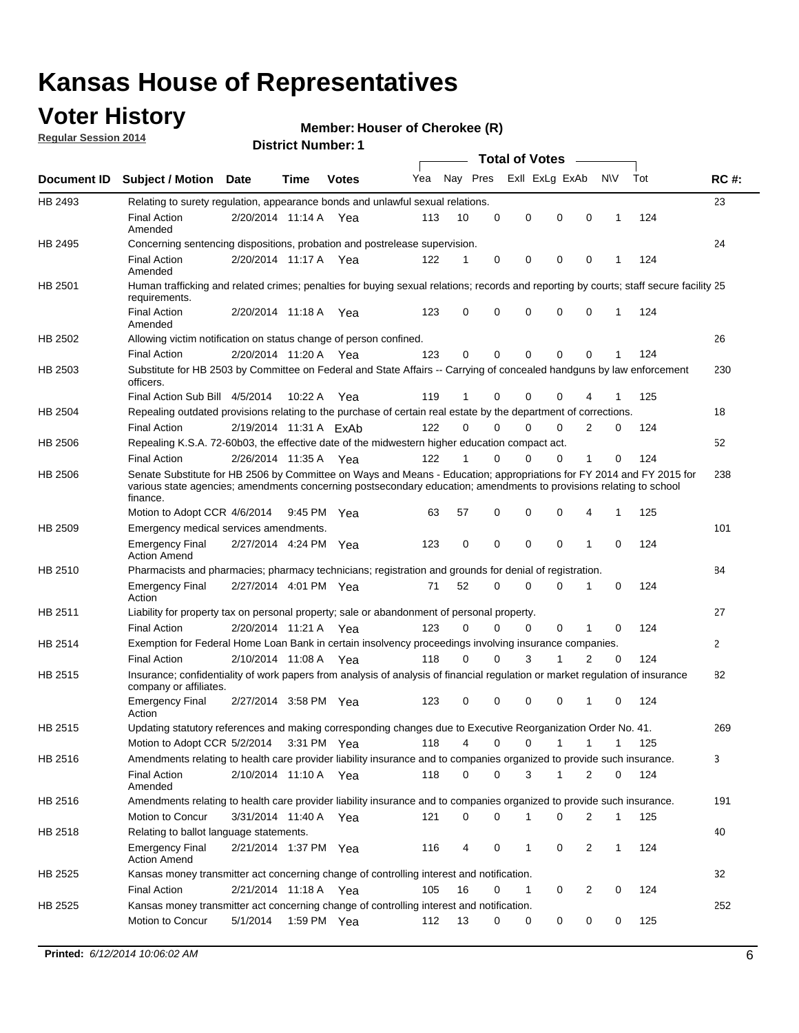### **Voter History**

**Regular Session 2014**

#### **Member: Houser of Cherokee (R)**

|                    |                                                                                                                                                                                                                                                        |                        |             |              |     |          |          | <b>Total of Votes</b> |              |                |              |     |              |
|--------------------|--------------------------------------------------------------------------------------------------------------------------------------------------------------------------------------------------------------------------------------------------------|------------------------|-------------|--------------|-----|----------|----------|-----------------------|--------------|----------------|--------------|-----|--------------|
| <b>Document ID</b> | <b>Subject / Motion Date</b>                                                                                                                                                                                                                           |                        | Time        | <b>Votes</b> | Yea | Nay Pres |          | Exll ExLg ExAb        |              |                | N\V          | Tot | <b>RC#:</b>  |
| HB 2493            | Relating to surety regulation, appearance bonds and unlawful sexual relations.                                                                                                                                                                         |                        |             |              |     |          |          |                       |              |                |              |     | 23           |
|                    | <b>Final Action</b><br>Amended                                                                                                                                                                                                                         | 2/20/2014 11:14 A      |             | Yea          | 113 | 10       | 0        | 0                     | $\mathbf 0$  | 0              | $\mathbf 1$  | 124 |              |
| HB 2495            | Concerning sentencing dispositions, probation and postrelease supervision.                                                                                                                                                                             |                        |             |              |     |          |          |                       |              |                |              |     | 24           |
|                    | Final Action<br>Amended                                                                                                                                                                                                                                | 2/20/2014 11:17 A Yea  |             |              | 122 | 1        | 0        | 0                     | 0            | 0              | 1            | 124 |              |
| HB 2501            | Human trafficking and related crimes; penalties for buying sexual relations; records and reporting by courts; staff secure facility 25<br>requirements.                                                                                                |                        |             |              |     |          |          |                       |              |                |              |     |              |
|                    | <b>Final Action</b><br>Amended                                                                                                                                                                                                                         | 2/20/2014 11:18 A Yea  |             |              | 123 | 0        | 0        | 0                     | 0            | $\mathbf 0$    | 1            | 124 |              |
| HB 2502            | Allowing victim notification on status change of person confined.                                                                                                                                                                                      |                        |             |              |     |          |          |                       |              |                |              |     | 26           |
|                    | <b>Final Action</b>                                                                                                                                                                                                                                    | 2/20/2014 11:20 A Yea  |             |              | 123 | 0        | 0        | 0                     | $\Omega$     | $\Omega$       |              | 124 |              |
| HB 2503            | Substitute for HB 2503 by Committee on Federal and State Affairs -- Carrying of concealed handguns by law enforcement<br>officers.                                                                                                                     |                        |             |              |     |          |          |                       |              |                |              |     | 230          |
|                    | Final Action Sub Bill 4/5/2014                                                                                                                                                                                                                         |                        | 10:22 A     | Yea          | 119 |          | 0        | 0                     | 0            | 4              |              | 125 |              |
| HB 2504            | Repealing outdated provisions relating to the purchase of certain real estate by the department of corrections.                                                                                                                                        |                        |             |              |     |          |          |                       |              |                |              |     | 18           |
|                    | <b>Final Action</b>                                                                                                                                                                                                                                    | 2/19/2014 11:31 A ExAb |             |              | 122 | 0        | 0        | 0                     | $\Omega$     | $\overline{2}$ | 0            | 124 |              |
| HB 2506            | Repealing K.S.A. 72-60b03, the effective date of the midwestern higher education compact act.                                                                                                                                                          |                        |             |              |     |          |          |                       |              |                |              |     | 52           |
|                    | <b>Final Action</b>                                                                                                                                                                                                                                    | 2/26/2014 11:35 A Yea  |             |              | 122 |          | 0        | 0                     | 0            | 1              | 0            | 124 |              |
| HB 2506            | Senate Substitute for HB 2506 by Committee on Ways and Means - Education; appropriations for FY 2014 and FY 2015 for<br>various state agencies; amendments concerning postsecondary education; amendments to provisions relating to school<br>finance. |                        |             |              |     |          |          |                       |              |                |              |     | 238          |
|                    | Motion to Adopt CCR 4/6/2014                                                                                                                                                                                                                           |                        | 9:45 PM Yea |              | 63  | 57       | 0        | 0                     | 0            | 4              | 1            | 125 |              |
| HB 2509            | Emergency medical services amendments.                                                                                                                                                                                                                 |                        |             |              |     |          |          |                       |              |                |              |     | 101          |
|                    | <b>Emergency Final</b><br><b>Action Amend</b>                                                                                                                                                                                                          | 2/27/2014 4:24 PM Yea  |             |              | 123 | 0        | 0        | 0                     | 0            | $\mathbf 1$    | 0            | 124 |              |
| HB 2510            | Pharmacists and pharmacies; pharmacy technicians; registration and grounds for denial of registration.                                                                                                                                                 |                        |             |              |     |          |          |                       |              |                |              |     | 84           |
|                    | <b>Emergency Final</b><br>Action                                                                                                                                                                                                                       | 2/27/2014 4:01 PM Yea  |             |              | 71  | 52       | 0        | 0                     | 0            | 1              | 0            | 124 |              |
| HB 2511            | Liability for property tax on personal property; sale or abandonment of personal property.                                                                                                                                                             |                        |             |              |     |          |          |                       |              |                |              |     | 27           |
|                    | <b>Final Action</b>                                                                                                                                                                                                                                    | 2/20/2014 11:21 A      |             | Yea          | 123 | 0        | $\Omega$ | 0                     | 0            | 1              | 0            | 124 |              |
| HB 2514            | Exemption for Federal Home Loan Bank in certain insolvency proceedings involving insurance companies.                                                                                                                                                  |                        |             |              |     |          |          |                       |              |                |              |     | $\mathbf{2}$ |
|                    | <b>Final Action</b>                                                                                                                                                                                                                                    | 2/10/2014 11:08 A      |             | Yea          | 118 | 0        | 0        | 3                     | 1            | $\overline{2}$ | 0            | 124 |              |
| HB 2515            | Insurance; confidentiality of work papers from analysis of analysis of financial regulation or market regulation of insurance<br>company or affiliates.                                                                                                |                        |             |              |     |          |          |                       |              |                |              |     | 82           |
|                    | <b>Emergency Final</b><br>Action                                                                                                                                                                                                                       | 2/27/2014 3:58 PM Yea  |             |              | 123 | 0        | 0        | 0                     | 0            | -1             | 0            | 124 |              |
| HB 2515            | Updating statutory references and making corresponding changes due to Executive Reorganization Order No. 41.                                                                                                                                           |                        |             |              |     |          |          |                       |              |                |              |     | 269          |
|                    | Motion to Adopt CCR 5/2/2014 3:31 PM Yea                                                                                                                                                                                                               |                        |             |              | 118 | 4        | 0        | 0                     | $\mathbf{1}$ | $\mathbf{1}$   | $\mathbf{1}$ | 125 |              |
| HB 2516            | Amendments relating to health care provider liability insurance and to companies organized to provide such insurance.                                                                                                                                  |                        |             |              |     |          |          |                       |              |                |              |     | 3            |
|                    | <b>Final Action</b><br>Amended                                                                                                                                                                                                                         | 2/10/2014 11:10 A Yea  |             |              | 118 | 0        | 0        | 3                     | $\mathbf{1}$ | 2              | 0            | 124 |              |
| HB 2516            | Amendments relating to health care provider liability insurance and to companies organized to provide such insurance.                                                                                                                                  |                        |             |              |     |          |          |                       |              |                |              |     | 191          |
|                    | Motion to Concur                                                                                                                                                                                                                                       | 3/31/2014 11:40 A Yea  |             |              | 121 | 0        | 0        | 1                     | 0            | 2              | $\mathbf{1}$ | 125 |              |
| HB 2518            | Relating to ballot language statements.                                                                                                                                                                                                                |                        |             |              |     |          |          |                       |              |                |              |     | 40           |
|                    | <b>Emergency Final</b><br><b>Action Amend</b>                                                                                                                                                                                                          | 2/21/2014 1:37 PM Yea  |             |              | 116 | 4        | 0        | 1                     | 0            | 2              | $\mathbf{1}$ | 124 |              |
| HB 2525            | Kansas money transmitter act concerning change of controlling interest and notification.                                                                                                                                                               |                        |             |              |     |          |          |                       |              |                |              |     | 32           |
|                    | <b>Final Action</b>                                                                                                                                                                                                                                    | 2/21/2014 11:18 A Yea  |             |              | 105 | 16       | 0        | 1                     | 0            | 2              | 0            | 124 |              |
| HB 2525            | Kansas money transmitter act concerning change of controlling interest and notification.                                                                                                                                                               |                        |             |              |     |          |          |                       |              |                |              |     | 252          |
|                    | Motion to Concur                                                                                                                                                                                                                                       | 5/1/2014               |             | 1:59 PM Yea  | 112 | 13       | 0        | 0                     | 0            | 0              | 0            | 125 |              |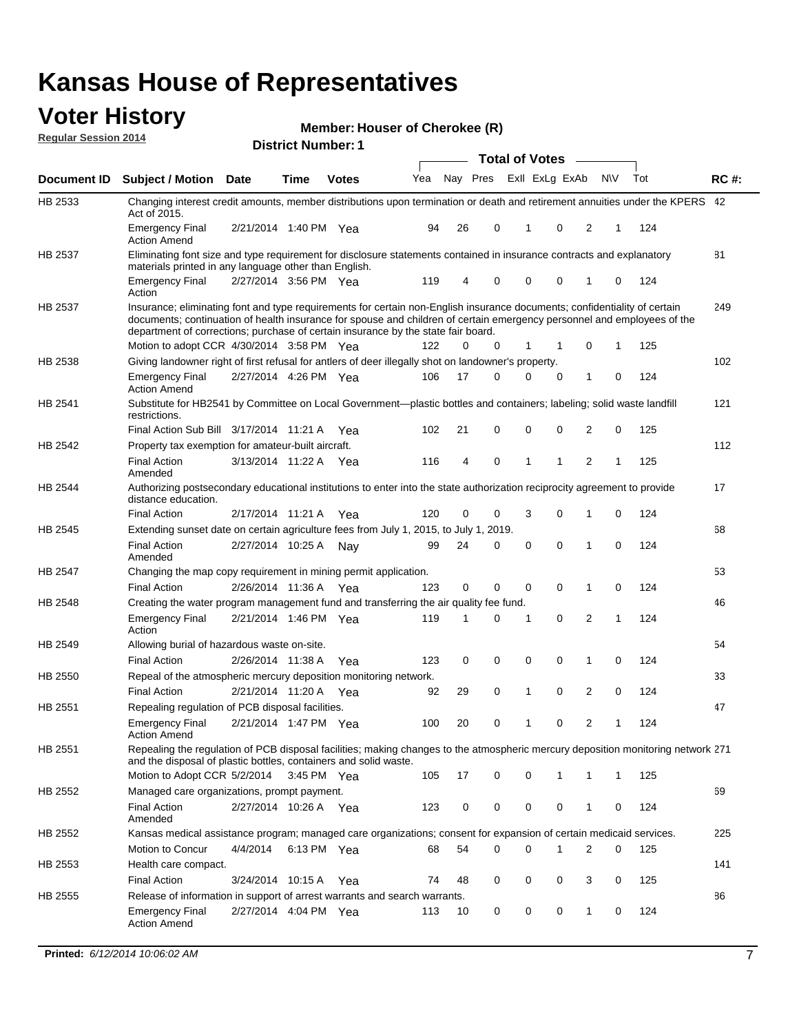#### **Voter History Regular Session 2014**

|                |                                                                                                                                                                                                                                                                                                                                           |                       | <b>DISUILLINUIIIDEL.</b> I |              |     |    |                         | <b>Total of Votes</b> |              |              |          |     |             |
|----------------|-------------------------------------------------------------------------------------------------------------------------------------------------------------------------------------------------------------------------------------------------------------------------------------------------------------------------------------------|-----------------------|----------------------------|--------------|-----|----|-------------------------|-----------------------|--------------|--------------|----------|-----|-------------|
| Document ID    | <b>Subject / Motion Date</b>                                                                                                                                                                                                                                                                                                              |                       | Time                       | <b>Votes</b> | Yea |    | Nay Pres ExII ExLg ExAb |                       |              | N\V          |          | Tot | <b>RC#:</b> |
| HB 2533        | Changing interest credit amounts, member distributions upon termination or death and retirement annuities under the KPERS 42<br>Act of 2015.                                                                                                                                                                                              |                       |                            |              |     |    |                         |                       |              |              |          |     |             |
|                | <b>Emergency Final</b><br><b>Action Amend</b>                                                                                                                                                                                                                                                                                             | 2/21/2014 1:40 PM Yea |                            |              | 94  | 26 | 0                       | 1                     | 0            | 2            | 1        | 124 |             |
| HB 2537        | Eliminating font size and type requirement for disclosure statements contained in insurance contracts and explanatory<br>materials printed in any language other than English.                                                                                                                                                            |                       |                            |              |     |    |                         |                       |              |              |          |     | 81          |
|                | <b>Emergency Final</b><br>Action                                                                                                                                                                                                                                                                                                          | 2/27/2014 3:56 PM Yea |                            |              | 119 | 4  | 0                       | 0                     | 0            | 1            | 0        | 124 |             |
| HB 2537        | Insurance; eliminating font and type requirements for certain non-English insurance documents; confidentiality of certain<br>documents; continuation of health insurance for spouse and children of certain emergency personnel and employees of the<br>department of corrections; purchase of certain insurance by the state fair board. |                       |                            |              |     |    |                         |                       |              |              |          |     | 249         |
|                | Motion to adopt CCR 4/30/2014 3:58 PM Yea                                                                                                                                                                                                                                                                                                 |                       |                            |              | 122 | 0  | 0                       | 1                     | -1           | 0            | 1        | 125 |             |
| HB 2538        | Giving landowner right of first refusal for antlers of deer illegally shot on landowner's property.                                                                                                                                                                                                                                       |                       |                            |              |     |    |                         |                       |              |              |          |     | 102         |
|                | <b>Emergency Final</b><br><b>Action Amend</b>                                                                                                                                                                                                                                                                                             | 2/27/2014 4:26 PM Yea |                            |              | 106 | 17 | 0                       | 0                     | 0            | 1            | 0        | 124 |             |
| HB 2541        | Substitute for HB2541 by Committee on Local Government—plastic bottles and containers; labeling; solid waste landfill<br>restrictions.                                                                                                                                                                                                    |                       |                            |              |     |    |                         |                       |              |              |          |     | 121         |
|                | Final Action Sub Bill 3/17/2014 11:21 A Yea                                                                                                                                                                                                                                                                                               |                       |                            |              | 102 | 21 | 0                       | $\mathbf 0$           | 0            | 2            | 0        | 125 |             |
| HB 2542        | Property tax exemption for amateur-built aircraft.<br><b>Final Action</b><br>Amended                                                                                                                                                                                                                                                      | 3/13/2014 11:22 A Yea |                            |              | 116 | 4  | 0                       | 1                     | $\mathbf{1}$ | 2            | 1        | 125 | 112         |
| HB 2544        | Authorizing postsecondary educational institutions to enter into the state authorization reciprocity agreement to provide<br>distance education.                                                                                                                                                                                          |                       |                            |              |     |    |                         |                       |              |              |          |     | 17          |
|                | <b>Final Action</b>                                                                                                                                                                                                                                                                                                                       | 2/17/2014 11:21 A Yea |                            |              | 120 | 0  | 0                       | 3                     | 0            | 1            | 0        | 124 |             |
| HB 2545        | Extending sunset date on certain agriculture fees from July 1, 2015, to July 1, 2019.                                                                                                                                                                                                                                                     |                       |                            |              |     |    |                         |                       |              |              |          |     | 68          |
|                | <b>Final Action</b><br>Amended                                                                                                                                                                                                                                                                                                            | 2/27/2014 10:25 A Nay |                            |              | 99  | 24 | 0                       | $\mathbf 0$           | $\Omega$     | 1            | $\Omega$ | 124 |             |
| <b>HB 2547</b> | Changing the map copy requirement in mining permit application.                                                                                                                                                                                                                                                                           |                       |                            |              |     |    |                         |                       |              |              |          |     | 53          |
|                | <b>Final Action</b>                                                                                                                                                                                                                                                                                                                       | 2/26/2014 11:36 A     |                            | Yea          | 123 | 0  | 0                       | 0                     | 0            | 1            | 0        | 124 |             |
| HB 2548        | Creating the water program management fund and transferring the air quality fee fund.                                                                                                                                                                                                                                                     |                       |                            |              |     |    |                         |                       |              |              |          |     | 46          |
|                | <b>Emergency Final</b><br>Action                                                                                                                                                                                                                                                                                                          | 2/21/2014 1:46 PM Yea |                            |              | 119 | 1  | 0                       | 1                     | 0            | 2            | 1        | 124 |             |
| HB 2549        | Allowing burial of hazardous waste on-site.                                                                                                                                                                                                                                                                                               |                       |                            |              |     |    |                         |                       |              |              |          |     | 54          |
|                | <b>Final Action</b>                                                                                                                                                                                                                                                                                                                       | 2/26/2014 11:38 A     |                            | Yea          | 123 | 0  | 0                       | 0                     | 0            | 1            | 0        | 124 |             |
| HB 2550        | Repeal of the atmospheric mercury deposition monitoring network.                                                                                                                                                                                                                                                                          |                       |                            |              |     |    |                         |                       |              |              |          |     | 33          |
|                | <b>Final Action</b>                                                                                                                                                                                                                                                                                                                       | 2/21/2014 11:20 A Yea |                            |              | 92  | 29 | 0                       | 1                     | 0            | 2            | 0        | 124 |             |
| HB 2551        | Repealing regulation of PCB disposal facilities.                                                                                                                                                                                                                                                                                          |                       |                            |              |     |    |                         |                       |              |              |          |     | 47          |
|                | <b>Emergency Final</b><br>Action Amend                                                                                                                                                                                                                                                                                                    | 2/21/2014 1:47 PM Yea |                            |              | 100 | 20 | 0                       | 1                     | 0            | 2            | 1        | 124 |             |
| HB 2551        | Repealing the regulation of PCB disposal facilities; making changes to the atmospheric mercury deposition monitoring network 271<br>and the disposal of plastic bottles, containers and solid waste.                                                                                                                                      |                       |                            |              |     |    |                         |                       |              |              |          |     |             |
|                | Motion to Adopt CCR 5/2/2014                                                                                                                                                                                                                                                                                                              |                       | 3:45 PM Yea                |              | 105 | 17 | 0                       | $\mathbf 0$           | 1            | 1            | 1        | 125 |             |
| HB 2552        | Managed care organizations, prompt payment.                                                                                                                                                                                                                                                                                               |                       |                            |              |     |    |                         |                       |              |              |          |     | 69          |
|                | <b>Final Action</b><br>Amended                                                                                                                                                                                                                                                                                                            | 2/27/2014 10:26 A Yea |                            |              | 123 | 0  | 0                       | 0                     | 0            | 1            | 0        | 124 |             |
| HB 2552        | Kansas medical assistance program; managed care organizations; consent for expansion of certain medicaid services.                                                                                                                                                                                                                        |                       |                            |              |     |    |                         |                       |              |              |          |     | 225         |
|                | Motion to Concur                                                                                                                                                                                                                                                                                                                          | 4/4/2014              | 6:13 PM Yea                |              | 68  | 54 | 0                       | $\mathbf 0$           | 1            | 2            | 0        | 125 |             |
| HB 2553        | Health care compact.                                                                                                                                                                                                                                                                                                                      |                       |                            |              |     |    |                         |                       |              |              |          |     | 141         |
|                | <b>Final Action</b>                                                                                                                                                                                                                                                                                                                       | 3/24/2014 10:15 A Yea |                            |              | 74  | 48 | 0                       | 0                     | 0            | 3            | 0        | 125 |             |
| HB 2555        | Release of information in support of arrest warrants and search warrants.                                                                                                                                                                                                                                                                 |                       |                            |              |     |    |                         |                       |              |              |          |     | 86          |
|                | <b>Emergency Final</b><br><b>Action Amend</b>                                                                                                                                                                                                                                                                                             | 2/27/2014 4:04 PM Yea |                            |              | 113 | 10 | 0                       | 0                     | 0            | $\mathbf{1}$ | 0        | 124 |             |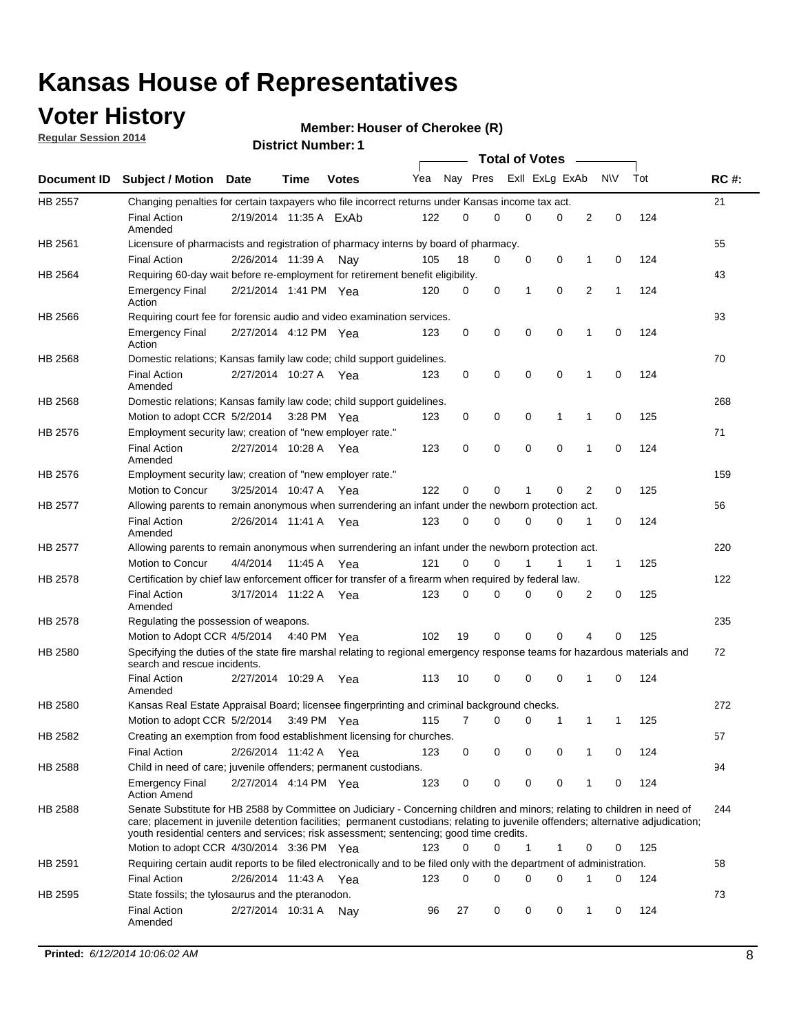### **Voter History**

**Regular Session 2014**

#### **Member: Houser of Cherokee (R)**

|                |                                                                                                                                                                                                                                                                                                                                                           |                        |         |              |     |          |   | <b>Total of Votes</b> |             |              |             |     |             |
|----------------|-----------------------------------------------------------------------------------------------------------------------------------------------------------------------------------------------------------------------------------------------------------------------------------------------------------------------------------------------------------|------------------------|---------|--------------|-----|----------|---|-----------------------|-------------|--------------|-------------|-----|-------------|
|                | Document ID Subject / Motion Date                                                                                                                                                                                                                                                                                                                         |                        | Time    | <b>Votes</b> | Yea | Nay Pres |   | Exll ExLg ExAb        |             |              | N\V         | Tot | <b>RC#:</b> |
| <b>HB 2557</b> | Changing penalties for certain taxpayers who file incorrect returns under Kansas income tax act.                                                                                                                                                                                                                                                          |                        |         |              |     |          |   |                       |             |              |             |     | 21          |
|                | <b>Final Action</b><br>Amended                                                                                                                                                                                                                                                                                                                            | 2/19/2014 11:35 A ExAb |         |              | 122 | 0        | 0 | 0                     | 0           | 2            | $\mathbf 0$ | 124 |             |
| HB 2561        | Licensure of pharmacists and registration of pharmacy interns by board of pharmacy.                                                                                                                                                                                                                                                                       |                        |         |              |     |          |   |                       |             |              |             |     | 55          |
|                | <b>Final Action</b>                                                                                                                                                                                                                                                                                                                                       | 2/26/2014 11:39 A      |         | Nav          | 105 | 18       | 0 | 0                     | 0           | 1            | 0           | 124 |             |
| HB 2564        | Requiring 60-day wait before re-employment for retirement benefit eligibility.                                                                                                                                                                                                                                                                            |                        |         |              |     |          |   |                       |             |              |             |     | 43          |
|                | <b>Emergency Final</b><br>Action                                                                                                                                                                                                                                                                                                                          | 2/21/2014 1:41 PM Yea  |         |              | 120 | 0        | 0 | 1                     | 0           | 2            | 1           | 124 |             |
| HB 2566        | Requiring court fee for forensic audio and video examination services.                                                                                                                                                                                                                                                                                    |                        |         |              |     |          |   |                       |             |              |             |     | 93          |
|                | <b>Emergency Final</b><br>Action                                                                                                                                                                                                                                                                                                                          | 2/27/2014 4:12 PM Yea  |         |              | 123 | 0        | 0 | 0                     | $\mathbf 0$ | $\mathbf{1}$ | 0           | 124 |             |
| HB 2568        | Domestic relations; Kansas family law code; child support guidelines.                                                                                                                                                                                                                                                                                     |                        |         |              |     |          |   |                       |             |              |             |     | 70          |
|                | <b>Final Action</b><br>Amended                                                                                                                                                                                                                                                                                                                            | 2/27/2014 10:27 A      |         | Yea          | 123 | 0        | 0 | 0                     | $\mathbf 0$ | 1            | 0           | 124 |             |
| HB 2568        | Domestic relations; Kansas family law code; child support guidelines.                                                                                                                                                                                                                                                                                     |                        |         |              |     |          |   |                       |             |              |             |     | 268         |
|                | Motion to adopt CCR 5/2/2014                                                                                                                                                                                                                                                                                                                              |                        |         | 3:28 PM Yea  | 123 | 0        | 0 | 0                     | 1           | 1            | $\mathbf 0$ | 125 |             |
| HB 2576        | Employment security law; creation of "new employer rate."                                                                                                                                                                                                                                                                                                 |                        |         |              |     |          |   |                       |             |              |             |     | 71          |
|                | <b>Final Action</b><br>Amended                                                                                                                                                                                                                                                                                                                            | 2/27/2014 10:28 A Yea  |         |              | 123 | 0        | 0 | 0                     | 0           | 1            | 0           | 124 |             |
| HB 2576        | Employment security law; creation of "new employer rate."                                                                                                                                                                                                                                                                                                 |                        |         |              |     |          |   |                       |             |              |             |     | 159         |
|                | Motion to Concur                                                                                                                                                                                                                                                                                                                                          | 3/25/2014 10:47 A      |         | Yea          | 122 | 0        | 0 | 1                     | 0           | 2            | 0           | 125 |             |
| HB 2577        | Allowing parents to remain anonymous when surrendering an infant under the newborn protection act.                                                                                                                                                                                                                                                        |                        |         |              |     |          |   |                       |             |              |             |     | 56          |
|                | <b>Final Action</b><br>Amended                                                                                                                                                                                                                                                                                                                            | 2/26/2014 11:41 A Yea  |         |              | 123 | $\Omega$ | 0 | 0                     | $\Omega$    | 1            | 0           | 124 |             |
| HB 2577        | Allowing parents to remain anonymous when surrendering an infant under the newborn protection act.                                                                                                                                                                                                                                                        |                        |         |              |     |          |   |                       |             |              |             |     | 220         |
|                | Motion to Concur                                                                                                                                                                                                                                                                                                                                          | 4/4/2014               | 11:45 A | Yea          | 121 | $\Omega$ | 0 | 1                     | 1           | 1            | 1           | 125 |             |
| HB 2578        | Certification by chief law enforcement officer for transfer of a firearm when required by federal law.                                                                                                                                                                                                                                                    |                        |         |              |     |          |   |                       |             |              |             |     | 122         |
|                | <b>Final Action</b><br>Amended                                                                                                                                                                                                                                                                                                                            | 3/17/2014 11:22 A      |         | Yea          | 123 | $\Omega$ | 0 | 0                     | 0           | 2            | 0           | 125 |             |
| HB 2578        | Regulating the possession of weapons.                                                                                                                                                                                                                                                                                                                     |                        |         |              |     |          |   |                       |             |              |             |     | 235         |
|                | Motion to Adopt CCR 4/5/2014 4:40 PM Yea                                                                                                                                                                                                                                                                                                                  |                        |         |              | 102 | 19       | 0 | 0                     | 0           | 4            | 0           | 125 |             |
| HB 2580        | Specifying the duties of the state fire marshal relating to regional emergency response teams for hazardous materials and<br>search and rescue incidents.                                                                                                                                                                                                 |                        |         |              |     |          |   |                       |             |              |             |     | 72          |
|                | <b>Final Action</b><br>Amended                                                                                                                                                                                                                                                                                                                            | 2/27/2014 10:29 A      |         | Yea          | 113 | 10       | 0 | 0                     | $\mathbf 0$ | 1            | 0           | 124 |             |
| HB 2580        | Kansas Real Estate Appraisal Board; licensee fingerprinting and criminal background checks.                                                                                                                                                                                                                                                               |                        |         |              |     |          |   |                       |             |              |             |     | 272         |
|                | Motion to adopt CCR 5/2/2014                                                                                                                                                                                                                                                                                                                              |                        |         | 3:49 PM Yea  | 115 | 7        | 0 | 0                     | 1           | 1            | 1           | 125 |             |
| HB 2582        | Creating an exemption from food establishment licensing for churches.                                                                                                                                                                                                                                                                                     |                        |         |              |     |          |   |                       |             |              |             |     | 57          |
|                | <b>Final Action</b>                                                                                                                                                                                                                                                                                                                                       | 2/26/2014 11:42 A Yea  |         |              | 123 | 0        | 0 | 0                     | 0           |              | 0           | 124 |             |
| HB 2588        | Child in need of care; juvenile offenders; permanent custodians.                                                                                                                                                                                                                                                                                          |                        |         |              |     |          |   |                       |             |              |             |     | 94          |
|                | <b>Emergency Final</b><br><b>Action Amend</b>                                                                                                                                                                                                                                                                                                             | 2/27/2014 4:14 PM Yea  |         |              | 123 | 0        | 0 | 0                     | 0           | 1            | 0           | 124 |             |
| HB 2588        | Senate Substitute for HB 2588 by Committee on Judiciary - Concerning children and minors; relating to children in need of<br>care; placement in juvenile detention facilities; permanent custodians; relating to juvenile offenders; alternative adjudication;<br>youth residential centers and services; risk assessment; sentencing; good time credits. |                        |         |              |     |          |   |                       |             |              |             |     | 244         |
|                | Motion to adopt CCR 4/30/2014 3:36 PM Yea                                                                                                                                                                                                                                                                                                                 |                        |         |              | 123 | 0        | 0 | 1                     | 1           | 0            | 0           | 125 |             |
| HB 2591        | Requiring certain audit reports to be filed electronically and to be filed only with the department of administration.                                                                                                                                                                                                                                    |                        |         |              |     |          |   |                       |             |              |             |     | 58          |
|                | <b>Final Action</b>                                                                                                                                                                                                                                                                                                                                       | 2/26/2014 11:43 A Yea  |         |              | 123 | 0        | 0 | 0                     | 0           | 1            | 0           | 124 |             |
| HB 2595        | State fossils; the tylosaurus and the pteranodon.                                                                                                                                                                                                                                                                                                         |                        |         |              |     |          |   |                       |             |              |             |     | 73          |
|                | <b>Final Action</b><br>Amended                                                                                                                                                                                                                                                                                                                            | 2/27/2014 10:31 A Nay  |         |              | 96  | 27       | 0 | 0                     | 0           | 1            | 0           | 124 |             |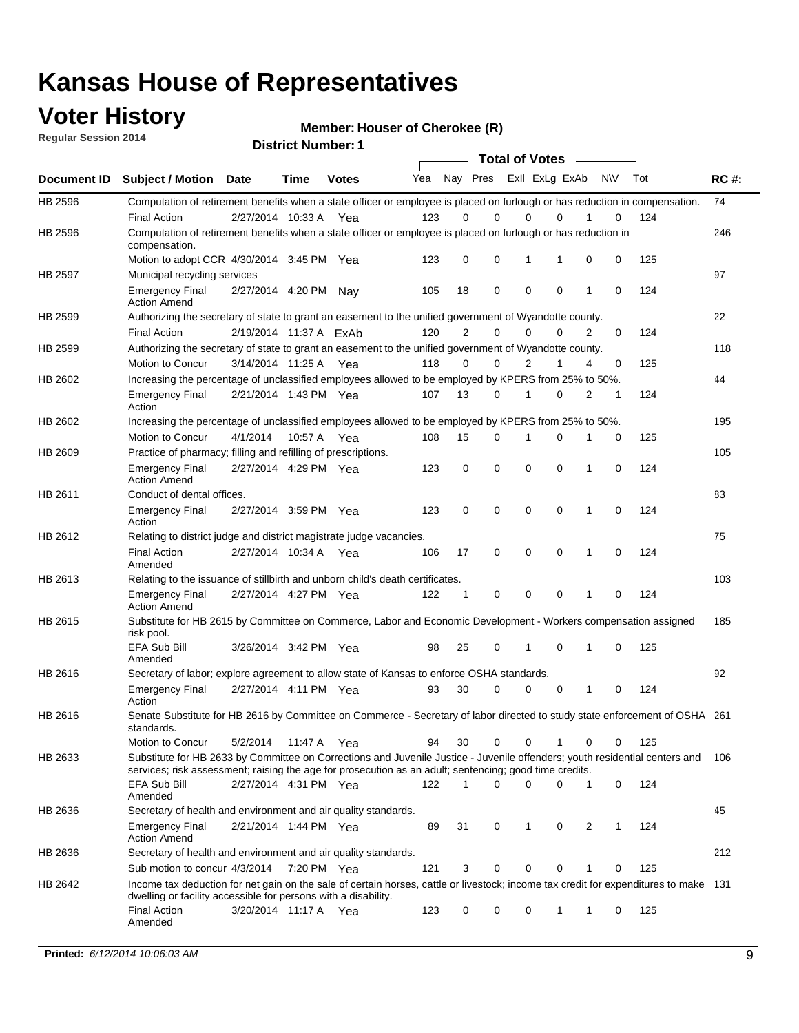### **Voter History**

**Regular Session 2014**

**Member: Houser of Cherokee (R)** 

**1**

|  | <b>District Number:</b> |
|--|-------------------------|
|--|-------------------------|

|                |                                                                                                                                                                                                                                       |                        | <b>DISTRICT MAILINGL.</b> I |              |     |                |             |             | <b>Total of Votes</b> |             |           |   |     |             |
|----------------|---------------------------------------------------------------------------------------------------------------------------------------------------------------------------------------------------------------------------------------|------------------------|-----------------------------|--------------|-----|----------------|-------------|-------------|-----------------------|-------------|-----------|---|-----|-------------|
| Document ID    | <b>Subject / Motion Date</b>                                                                                                                                                                                                          |                        | Time                        | <b>Votes</b> | Yea |                | Nay Pres    |             | Exll ExLg ExAb        |             | <b>NV</b> |   | Tot | <b>RC#:</b> |
| HB 2596        | Computation of retirement benefits when a state officer or employee is placed on furlough or has reduction in compensation.                                                                                                           |                        |                             |              |     |                |             |             |                       |             |           |   |     | 74          |
|                | <b>Final Action</b>                                                                                                                                                                                                                   | 2/27/2014 10:33 A      |                             | Yea          | 123 | 0              | 0           |             | 0                     | $\Omega$    |           | 0 | 124 |             |
| HB 2596        | Computation of retirement benefits when a state officer or employee is placed on furlough or has reduction in<br>compensation.                                                                                                        |                        |                             |              |     |                |             |             |                       |             |           |   |     | 246         |
|                | Motion to adopt CCR 4/30/2014 3:45 PM Yea                                                                                                                                                                                             |                        |                             |              | 123 | 0              | 0           |             | 1                     | 1           | 0         | 0 | 125 |             |
| <b>HB 2597</b> | Municipal recycling services                                                                                                                                                                                                          |                        |                             |              |     |                |             |             |                       |             |           |   |     | 97          |
|                | <b>Emergency Final</b><br><b>Action Amend</b>                                                                                                                                                                                         | 2/27/2014 4:20 PM      |                             | Nav          | 105 | 18             | 0           |             | $\mathbf 0$           | $\mathbf 0$ | 1         | 0 | 124 |             |
| HB 2599        | Authorizing the secretary of state to grant an easement to the unified government of Wyandotte county.                                                                                                                                |                        |                             |              |     |                |             |             |                       |             |           |   |     | 22          |
|                | <b>Final Action</b>                                                                                                                                                                                                                   | 2/19/2014 11:37 A ExAb |                             |              | 120 | $\overline{2}$ | 0           |             | $\mathbf 0$           | $\Omega$    | 2         | 0 | 124 |             |
| HB 2599        | Authorizing the secretary of state to grant an easement to the unified government of Wyandotte county.                                                                                                                                |                        |                             |              |     |                |             |             |                       |             |           |   |     | 118         |
|                | Motion to Concur                                                                                                                                                                                                                      | 3/14/2014 11:25 A      |                             | Yea          | 118 | $\Omega$       | 0           |             | 2                     | 1           | 4         | 0 | 125 |             |
| HB 2602        | Increasing the percentage of unclassified employees allowed to be employed by KPERS from 25% to 50%.                                                                                                                                  |                        |                             |              |     |                |             |             |                       |             |           |   |     | 44          |
|                | <b>Emergency Final</b><br>Action                                                                                                                                                                                                      | 2/21/2014 1:43 PM Yea  |                             |              | 107 | 13             | 0           |             | 1                     | $\mathbf 0$ | 2         | 1 | 124 |             |
| HB 2602        | Increasing the percentage of unclassified employees allowed to be employed by KPERS from 25% to 50%.                                                                                                                                  |                        |                             |              |     |                |             |             |                       |             |           |   |     | 195         |
|                | Motion to Concur                                                                                                                                                                                                                      | 4/1/2014               | 10:57 A Yea                 |              | 108 | 15             | 0           |             | 1                     | 0           | 1         | 0 | 125 |             |
| HB 2609        | Practice of pharmacy; filling and refilling of prescriptions.                                                                                                                                                                         |                        |                             |              |     |                |             |             |                       |             |           |   |     | 105         |
|                | <b>Emergency Final</b><br><b>Action Amend</b>                                                                                                                                                                                         | 2/27/2014 4:29 PM Yea  |                             |              | 123 | 0              | $\mathbf 0$ | $\mathbf 0$ |                       | $\mathbf 0$ | 1         | 0 | 124 |             |
| HB 2611        | Conduct of dental offices.                                                                                                                                                                                                            |                        |                             |              |     |                |             |             |                       |             |           |   |     | 83          |
|                | <b>Emergency Final</b><br>Action                                                                                                                                                                                                      | 2/27/2014 3:59 PM Yea  |                             |              | 123 | $\mathbf 0$    | $\mathbf 0$ | $\mathbf 0$ |                       | $\mathbf 0$ | 1         | 0 | 124 |             |
| HB 2612        | Relating to district judge and district magistrate judge vacancies.                                                                                                                                                                   |                        |                             |              |     |                |             |             |                       |             |           |   |     | 75          |
|                | <b>Final Action</b><br>Amended                                                                                                                                                                                                        | 2/27/2014 10:34 A      |                             | Yea          | 106 | 17             | 0           |             | $\mathbf 0$           | 0           | 1         | 0 | 124 |             |
| HB 2613        | Relating to the issuance of stillbirth and unborn child's death certificates.                                                                                                                                                         |                        |                             |              |     |                |             |             |                       |             |           |   |     | 103         |
|                | <b>Emergency Final</b><br><b>Action Amend</b>                                                                                                                                                                                         | 2/27/2014 4:27 PM Yea  |                             |              | 122 | 1              | 0           | $\mathbf 0$ |                       | $\Omega$    | 1         | 0 | 124 |             |
| HB 2615        | Substitute for HB 2615 by Committee on Commerce, Labor and Economic Development - Workers compensation assigned<br>risk pool.                                                                                                         |                        |                             |              |     |                |             |             |                       |             |           |   |     | 185         |
|                | EFA Sub Bill<br>Amended                                                                                                                                                                                                               | 3/26/2014 3:42 PM Yea  |                             |              | 98  | 25             | 0           |             | 1                     | 0           | 1         | 0 | 125 |             |
| HB 2616        | Secretary of labor; explore agreement to allow state of Kansas to enforce OSHA standards.                                                                                                                                             |                        |                             |              |     |                |             |             |                       |             |           |   |     | 92          |
|                | <b>Emergency Final</b><br>Action                                                                                                                                                                                                      | 2/27/2014 4:11 PM Yea  |                             |              | 93  | 30             | 0           |             | 0                     | 0           | 1         | 0 | 124 |             |
| HB 2616        | Senate Substitute for HB 2616 by Committee on Commerce - Secretary of labor directed to study state enforcement of OSHA 261<br>standards.                                                                                             |                        |                             |              |     |                |             |             |                       |             |           |   |     |             |
|                | <b>Motion to Concur</b>                                                                                                                                                                                                               | 5/2/2014               | 11:47 A Yea                 |              | 94  | 30             | 0           |             | 0                     |             | 0         | 0 | 125 |             |
| HB 2633        | Substitute for HB 2633 by Committee on Corrections and Juvenile Justice - Juvenile offenders; youth residential centers and<br>services; risk assessment; raising the age for prosecution as an adult; sentencing; good time credits. |                        |                             |              |     |                |             |             |                       |             |           |   |     | 106         |
|                | EFA Sub Bill<br>Amended                                                                                                                                                                                                               | 2/27/2014 4:31 PM Yea  |                             |              | 122 | $\mathbf{1}$   | $\Omega$    |             | $\mathbf 0$           | 0           | 1         | 0 | 124 |             |
| HB 2636        | Secretary of health and environment and air quality standards.                                                                                                                                                                        |                        |                             |              |     |                |             |             |                       |             |           |   |     | 45          |
|                | <b>Emergency Final</b><br><b>Action Amend</b>                                                                                                                                                                                         | 2/21/2014 1:44 PM Yea  |                             |              | 89  | 31             | 0           |             | 1                     | 0           | 2         | 1 | 124 |             |
| HB 2636        | Secretary of health and environment and air quality standards.                                                                                                                                                                        |                        |                             |              |     |                |             |             |                       |             |           |   |     | 212         |
|                | Sub motion to concur 4/3/2014 7:20 PM Yea                                                                                                                                                                                             |                        |                             |              | 121 | 3              | 0           |             | 0                     | 0           |           | 0 | 125 |             |
| HB 2642        | Income tax deduction for net gain on the sale of certain horses, cattle or livestock; income tax credit for expenditures to make 131<br>dwelling or facility accessible for persons with a disability.                                |                        |                             |              |     |                |             |             |                       |             |           |   |     |             |
|                | <b>Final Action</b><br>Amended                                                                                                                                                                                                        | 3/20/2014 11:17 A Yea  |                             |              | 123 | 0              | 0           |             | 0                     | 1           | 1         | 0 | 125 |             |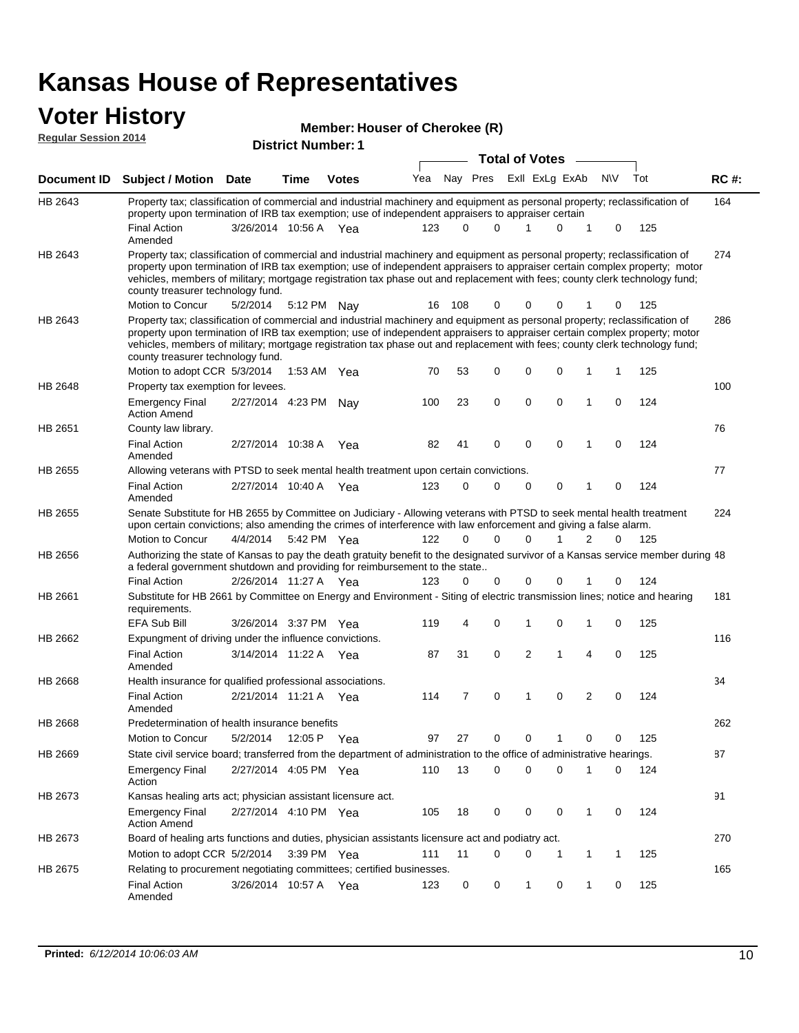# **Voter History**<br> **Regular Session 2014**

|                             | UW THUW Y                                                                                                                                                                                                                                                                                                                                                                                                                     |                           |      |              | Member: Houser of Cherokee (R) |          |             |                       |  |                |              |              |     |             |
|-----------------------------|-------------------------------------------------------------------------------------------------------------------------------------------------------------------------------------------------------------------------------------------------------------------------------------------------------------------------------------------------------------------------------------------------------------------------------|---------------------------|------|--------------|--------------------------------|----------|-------------|-----------------------|--|----------------|--------------|--------------|-----|-------------|
| <b>Regular Session 2014</b> |                                                                                                                                                                                                                                                                                                                                                                                                                               | <b>District Number: 1</b> |      |              |                                |          |             |                       |  |                |              |              |     |             |
|                             |                                                                                                                                                                                                                                                                                                                                                                                                                               |                           |      |              |                                |          |             | <b>Total of Votes</b> |  |                |              |              |     |             |
| <b>Document ID</b>          | <b>Subject / Motion Date</b>                                                                                                                                                                                                                                                                                                                                                                                                  |                           | Time | <b>Votes</b> | Yea                            |          | Nay Pres    |                       |  | Exll ExLg ExAb |              | <b>NV</b>    | Tot | <b>RC#:</b> |
| HB 2643                     | Property tax; classification of commercial and industrial machinery and equipment as personal property; reclassification of<br>property upon termination of IRB tax exemption; use of independent appraisers to appraiser certain                                                                                                                                                                                             |                           |      |              |                                |          |             |                       |  |                |              |              |     | 164         |
|                             | <b>Final Action</b><br>Amended                                                                                                                                                                                                                                                                                                                                                                                                | 3/26/2014 10:56 A Yea     |      |              | 123                            | $\Omega$ | $\Omega$    | 1                     |  | 0              | 1            | 0            | 125 |             |
| HB 2643                     | Property tax; classification of commercial and industrial machinery and equipment as personal property; reclassification of<br>property upon termination of IRB tax exemption; use of independent appraisers to appraiser certain complex property; motor<br>vehicles, members of military; mortgage registration tax phase out and replacement with fees; county clerk technology fund;<br>county treasurer technology fund. |                           |      |              |                                |          |             |                       |  |                |              |              |     | 274         |
|                             | Motion to Concur                                                                                                                                                                                                                                                                                                                                                                                                              | 5/2/2014                  |      | 5:12 PM Nay  | 16                             | 108      | 0           | 0                     |  | 0              |              | 0            | 125 |             |
| HB 2643                     | Property tax; classification of commercial and industrial machinery and equipment as personal property; reclassification of<br>property upon termination of IRB tax exemption; use of independent appraisers to appraiser certain complex property; motor<br>vehicles, members of military; mortgage registration tax phase out and replacement with fees; county clerk technology fund;<br>county treasurer technology fund. |                           |      |              |                                |          |             |                       |  |                |              |              |     | 286         |
|                             | Motion to adopt CCR 5/3/2014                                                                                                                                                                                                                                                                                                                                                                                                  |                           |      | 1:53 AM Yea  | 70                             | 53       | 0           | 0                     |  | 0              | 1            | 1            | 125 |             |
| HB 2648                     | Property tax exemption for levees.                                                                                                                                                                                                                                                                                                                                                                                            |                           |      |              |                                |          |             |                       |  |                |              |              |     | 100         |
|                             | <b>Emergency Final</b><br><b>Action Amend</b>                                                                                                                                                                                                                                                                                                                                                                                 | 2/27/2014 4:23 PM Nay     |      |              | 100                            | 23       | $\pmb{0}$   | 0                     |  | 0              | $\mathbf{1}$ | $\mathbf 0$  | 124 |             |
| HB 2651                     | County law library.                                                                                                                                                                                                                                                                                                                                                                                                           |                           |      |              |                                |          |             |                       |  |                |              |              |     | 76          |
|                             | <b>Final Action</b><br>Amended                                                                                                                                                                                                                                                                                                                                                                                                | 2/27/2014 10:38 A         |      | Yea          | 82                             | 41       | 0           | 0                     |  | $\mathbf 0$    | 1            | $\mathbf 0$  | 124 |             |
| HB 2655                     | Allowing veterans with PTSD to seek mental health treatment upon certain convictions.                                                                                                                                                                                                                                                                                                                                         |                           |      |              |                                |          |             |                       |  |                |              |              |     | 77          |
|                             | <b>Final Action</b><br>Amended                                                                                                                                                                                                                                                                                                                                                                                                | 2/27/2014 10:40 A Yea     |      |              | 123                            | 0        | $\mathbf 0$ | 0                     |  | $\mathbf 0$    | $\mathbf{1}$ | $\mathbf 0$  | 124 |             |
| HB 2655                     | Senate Substitute for HB 2655 by Committee on Judiciary - Allowing veterans with PTSD to seek mental health treatment<br>upon certain convictions; also amending the crimes of interference with law enforcement and giving a false alarm.<br>Motion to Concur                                                                                                                                                                | 4/4/2014                  |      | 5:42 PM Yea  | 122                            | $\Omega$ | $\Omega$    | 0                     |  | 1              | 2            | 0            | 125 | 224         |
| HB 2656                     | Authorizing the state of Kansas to pay the death gratuity benefit to the designated survivor of a Kansas service member during 48                                                                                                                                                                                                                                                                                             |                           |      |              |                                |          |             |                       |  |                |              |              |     |             |
|                             | a federal government shutdown and providing for reimbursement to the state<br><b>Final Action</b>                                                                                                                                                                                                                                                                                                                             | 2/26/2014 11:27 A Yea     |      |              | 123                            | 0        | 0           | 0                     |  | 0              | 1            | 0            | 124 |             |
|                             |                                                                                                                                                                                                                                                                                                                                                                                                                               |                           |      |              |                                |          |             |                       |  |                |              |              |     |             |
| HB 2661                     | Substitute for HB 2661 by Committee on Energy and Environment - Siting of electric transmission lines; notice and hearing<br>requirements.                                                                                                                                                                                                                                                                                    |                           |      |              |                                |          |             |                       |  |                |              |              |     | 181         |
|                             | <b>EFA Sub Bill</b>                                                                                                                                                                                                                                                                                                                                                                                                           | 3/26/2014 3:37 PM Yea     |      |              | 119                            | 4        | 0           | 1                     |  | $\mathbf 0$    | 1            | $\mathbf 0$  | 125 |             |
| HB 2662                     | Expungment of driving under the influence convictions.<br><b>Final Action</b><br>Amended                                                                                                                                                                                                                                                                                                                                      | 3/14/2014 11:22 A Yea     |      |              | 87                             | 31       | $\mathbf 0$ | $\overline{2}$        |  | 1              | 4            | $\mathbf 0$  | 125 | 116         |
| HB 2668                     | Health insurance for qualified professional associations.                                                                                                                                                                                                                                                                                                                                                                     |                           |      |              |                                |          |             |                       |  |                |              |              |     | 34          |
|                             | <b>Final Action</b><br>Amended                                                                                                                                                                                                                                                                                                                                                                                                | 2/21/2014 11:21 A Yea     |      |              | 114                            | 7        | 0           | 1                     |  | 0              | 2            | 0            | 124 |             |
| HB 2668                     | Predetermination of health insurance benefits                                                                                                                                                                                                                                                                                                                                                                                 |                           |      |              |                                |          |             |                       |  |                |              |              |     | 262         |
|                             | Motion to Concur                                                                                                                                                                                                                                                                                                                                                                                                              | 5/2/2014                  |      | 12:05 P Yea  | 97                             | 27       | 0           | 0                     |  | 1              | 0            | 0            | 125 |             |
| HB 2669                     | State civil service board; transferred from the department of administration to the office of administrative hearings.                                                                                                                                                                                                                                                                                                        |                           |      |              |                                |          |             |                       |  |                |              |              |     | 87          |
|                             | <b>Emergency Final</b><br>Action                                                                                                                                                                                                                                                                                                                                                                                              | 2/27/2014 4:05 PM Yea     |      |              | 110                            | 13       | $\mathbf 0$ | 0                     |  | 0              | 1            | 0            | 124 |             |
| HB 2673                     | Kansas healing arts act; physician assistant licensure act.                                                                                                                                                                                                                                                                                                                                                                   |                           |      |              |                                |          |             |                       |  |                |              |              |     | 91          |
|                             | <b>Emergency Final</b><br><b>Action Amend</b>                                                                                                                                                                                                                                                                                                                                                                                 | 2/27/2014 4:10 PM Yea     |      |              | 105                            | 18       | 0           | 0                     |  | 0              | $\mathbf{1}$ | 0            | 124 |             |
| HB 2673                     | Board of healing arts functions and duties, physician assistants licensure act and podiatry act.                                                                                                                                                                                                                                                                                                                              |                           |      |              |                                |          |             |                       |  |                |              |              |     | 270         |
|                             | Motion to adopt CCR 5/2/2014                                                                                                                                                                                                                                                                                                                                                                                                  |                           |      | 3:39 PM Yea  | 111                            | 11       | 0           | 0                     |  | 1              | 1            | $\mathbf{1}$ | 125 |             |
| HB 2675                     | Relating to procurement negotiating committees; certified businesses.                                                                                                                                                                                                                                                                                                                                                         |                           |      |              |                                |          |             |                       |  |                |              |              |     | 165         |
|                             | <b>Final Action</b>                                                                                                                                                                                                                                                                                                                                                                                                           | 3/26/2014 10:57 A Yea     |      |              | 123                            | 0        | 0           | $\mathbf{1}$          |  | 0              | 1            | 0            | 125 |             |

Amended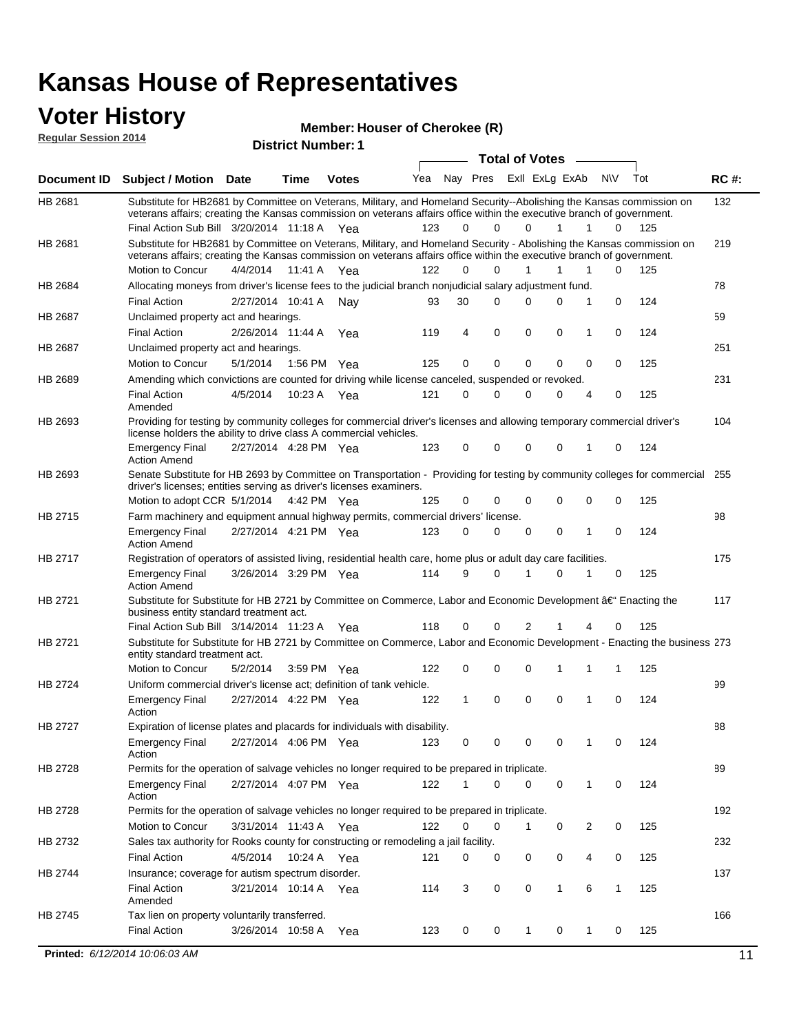#### **Voter History Regular Session 2014**

**Member: Houser of Cherokee (R)** 

| noguidi ocoololi 4017 |                                                                                                                                                                                                                                                                                               |          |                       | <b>District Number: 1</b> |     |          |             |             |                       |        |              |     |             |
|-----------------------|-----------------------------------------------------------------------------------------------------------------------------------------------------------------------------------------------------------------------------------------------------------------------------------------------|----------|-----------------------|---------------------------|-----|----------|-------------|-------------|-----------------------|--------|--------------|-----|-------------|
|                       |                                                                                                                                                                                                                                                                                               |          |                       |                           |     |          |             |             | <b>Total of Votes</b> | $\sim$ |              |     |             |
| Document ID           | <b>Subject / Motion Date</b>                                                                                                                                                                                                                                                                  |          | <b>Time</b>           | <b>Votes</b>              | Yea | Nay Pres |             |             | ExII ExLg ExAb        |        | N\V          | Tot | <b>RC#:</b> |
| HB 2681               | Substitute for HB2681 by Committee on Veterans, Military, and Homeland Security--Abolishing the Kansas commission on<br>veterans affairs; creating the Kansas commission on veterans affairs office within the executive branch of government.<br>Final Action Sub Bill 3/20/2014 11:18 A Yea |          |                       |                           | 123 | $\Omega$ | 0           | 0           | 1                     | 1      | 0            | 125 | 132         |
|                       |                                                                                                                                                                                                                                                                                               |          |                       |                           |     |          |             |             |                       |        |              |     |             |
| HB 2681               | Substitute for HB2681 by Committee on Veterans, Military, and Homeland Security - Abolishing the Kansas commission on<br>veterans affairs; creating the Kansas commission on veterans affairs office within the executive branch of government.                                               |          |                       |                           |     |          |             |             |                       |        |              |     | 219         |
|                       | Motion to Concur                                                                                                                                                                                                                                                                              | 4/4/2014 | 11:41 A               | Yea                       | 122 | $\Omega$ | 0           | 1           | 1                     | 1      | 0            | 125 |             |
| HB 2684               | Allocating moneys from driver's license fees to the judicial branch nonjudicial salary adjustment fund.                                                                                                                                                                                       |          |                       |                           |     |          |             |             |                       |        |              |     | 78          |
|                       | <b>Final Action</b>                                                                                                                                                                                                                                                                           |          | 2/27/2014 10:41 A     | Nav                       | 93  | 30       | 0           | $\Omega$    | 0                     | 1      | 0            | 124 |             |
| HB 2687               | Unclaimed property act and hearings.                                                                                                                                                                                                                                                          |          |                       |                           |     |          |             |             |                       |        |              |     | 59          |
|                       | <b>Final Action</b>                                                                                                                                                                                                                                                                           |          | 2/26/2014 11:44 A     | Yea                       | 119 | 4        | $\mathbf 0$ | 0           | 0                     | 1      | 0            | 124 |             |
| HB 2687               | Unclaimed property act and hearings.                                                                                                                                                                                                                                                          |          |                       |                           |     |          |             |             |                       |        |              |     | 251         |
|                       | Motion to Concur                                                                                                                                                                                                                                                                              | 5/1/2014 | 1:56 PM               | Yea                       | 125 | 0        | 0           | 0           | $\mathbf 0$           | 0      | 0            | 125 |             |
| HB 2689               | Amending which convictions are counted for driving while license canceled, suspended or revoked.                                                                                                                                                                                              |          |                       |                           |     |          |             |             |                       |        |              |     | 231         |
|                       | <b>Final Action</b><br>Amended                                                                                                                                                                                                                                                                | 4/5/2014 | 10:23 A               | Yea                       | 121 | 0        | 0           | $\Omega$    | 0                     | 4      | 0            | 125 |             |
| HB 2693               | Providing for testing by community colleges for commercial driver's licenses and allowing temporary commercial driver's<br>license holders the ability to drive class A commercial vehicles.                                                                                                  |          |                       |                           |     |          |             |             |                       |        |              |     | 104         |
|                       | Emergency Final<br><b>Action Amend</b>                                                                                                                                                                                                                                                        |          | 2/27/2014 4:28 PM Yea |                           | 123 | 0        | 0           | $\Omega$    | $\mathbf 0$           | 1      | 0            | 124 |             |
| HB 2693               | Senate Substitute for HB 2693 by Committee on Transportation - Providing for testing by community colleges for commercial 255<br>driver's licenses; entities serving as driver's licenses examiners.                                                                                          |          |                       |                           |     |          |             |             |                       |        |              |     |             |
|                       | Motion to adopt CCR 5/1/2014 4:42 PM Yea                                                                                                                                                                                                                                                      |          |                       |                           | 125 | 0        | 0           | 0           | 0                     | 0      | 0            | 125 |             |
| HB 2715               | Farm machinery and equipment annual highway permits, commercial drivers' license.                                                                                                                                                                                                             |          |                       |                           |     |          |             |             |                       |        |              |     | 98          |
|                       | Emergency Final<br><b>Action Amend</b>                                                                                                                                                                                                                                                        |          | 2/27/2014 4:21 PM Yea |                           | 123 | 0        | 0           | 0           | 0                     | 1      | 0            | 124 |             |
| HB 2717               | Registration of operators of assisted living, residential health care, home plus or adult day care facilities.                                                                                                                                                                                |          |                       |                           |     |          |             |             |                       |        |              |     | 175         |
|                       | Emergency Final<br>Action Amend                                                                                                                                                                                                                                                               |          | 3/26/2014 3:29 PM Yea |                           | 114 | 9        | 0           |             | 0                     |        | 0            | 125 |             |
| HB 2721               | Substitute for Substitute for HB 2721 by Committee on Commerce, Labor and Economic Development †Enacting the<br>business entity standard treatment act.                                                                                                                                       |          |                       |                           |     |          |             |             |                       |        |              |     | 117         |
|                       | Final Action Sub Bill 3/14/2014 11:23 A Yea                                                                                                                                                                                                                                                   |          |                       |                           | 118 | 0        | 0           | 2           |                       | 4      | 0            | 125 |             |
| HB 2721               | Substitute for Substitute for HB 2721 by Committee on Commerce, Labor and Economic Development - Enacting the business 273<br>entity standard treatment act.                                                                                                                                  |          |                       |                           |     |          |             |             |                       |        |              |     |             |
|                       | Motion to Concur                                                                                                                                                                                                                                                                              | 5/2/2014 | 3:59 PM               | Yea                       | 122 | 0        | 0           | $\mathbf 0$ | 1                     | 1      | 1            | 125 |             |
| HB 2724               | Uniform commercial driver's license act; definition of tank vehicle.                                                                                                                                                                                                                          |          |                       |                           |     |          |             |             |                       |        |              |     | 99          |
|                       | <b>Emergency Final</b><br>Action                                                                                                                                                                                                                                                              |          | 2/27/2014 4:22 PM Yea |                           | 122 | 1        | 0           | 0           | $\mathbf 0$           | 1      | 0            | 124 |             |
| HB 2727               | Expiration of license plates and placards for individuals with disability.                                                                                                                                                                                                                    |          |                       |                           |     |          |             |             |                       |        |              |     | 88          |
|                       | Emergency Final<br>Action                                                                                                                                                                                                                                                                     |          | 2/27/2014 4:06 PM Yea |                           | 123 | 0        | 0           | 0           | 0                     | 1      | 0            | 124 |             |
| HB 2728               | Permits for the operation of salvage vehicles no longer required to be prepared in triplicate.                                                                                                                                                                                                |          |                       |                           |     |          |             |             |                       |        |              |     | 89          |
|                       | Emergency Final<br>Action                                                                                                                                                                                                                                                                     |          |                       | 2/27/2014 4:07 PM Yea     | 122 |          | 0           | 0           | 0                     | 1      | 0            | 124 |             |
| HB 2728               | Permits for the operation of salvage vehicles no longer required to be prepared in triplicate.                                                                                                                                                                                                |          |                       |                           |     |          |             |             |                       |        |              |     | 192         |
|                       | Motion to Concur                                                                                                                                                                                                                                                                              |          | 3/31/2014 11:43 A Yea |                           | 122 | 0        | 0           | 1           | 0                     | 2      | 0            | 125 |             |
| HB 2732               | Sales tax authority for Rooks county for constructing or remodeling a jail facility.                                                                                                                                                                                                          |          |                       |                           |     |          |             |             |                       |        |              |     | 232         |
|                       | Final Action                                                                                                                                                                                                                                                                                  | 4/5/2014 |                       | 10:24 A Yea               | 121 | 0        | 0           | 0           | 0                     | 4      | 0            | 125 |             |
| HB 2744               | Insurance; coverage for autism spectrum disorder.                                                                                                                                                                                                                                             |          |                       |                           |     |          |             |             |                       |        |              |     | 137         |
|                       | <b>Final Action</b>                                                                                                                                                                                                                                                                           |          |                       | 3/21/2014 10:14 A Yea     | 114 | 3        | 0           | 0           | 1                     | 6      | $\mathbf{1}$ | 125 |             |
|                       | Amended                                                                                                                                                                                                                                                                                       |          |                       |                           |     |          |             |             |                       |        |              |     |             |
| HB 2745               | Tax lien on property voluntarily transferred.                                                                                                                                                                                                                                                 |          |                       |                           |     |          |             |             |                       |        |              |     | 166         |
|                       | <b>Final Action</b>                                                                                                                                                                                                                                                                           |          | 3/26/2014 10:58 A     | Yea                       | 123 | 0        | 0           | $\mathbf 1$ | 0                     | 1      | 0            | 125 |             |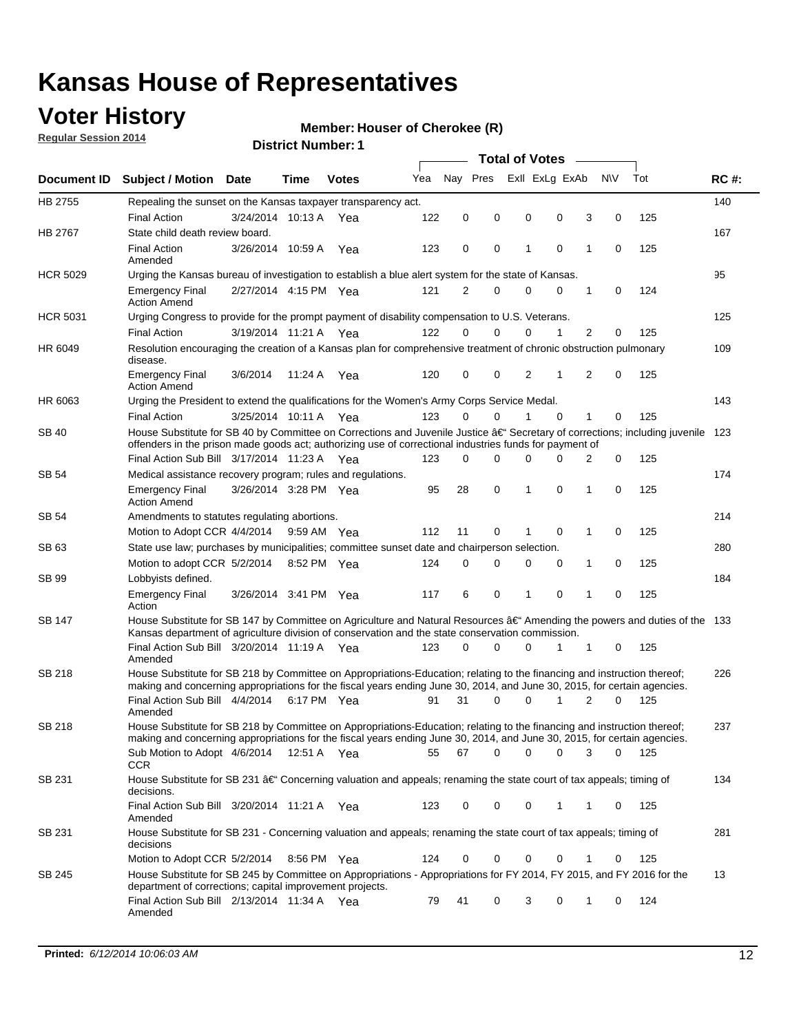### **Voter History**

**Regular Session 2014**

#### **Member: Houser of Cherokee (R)**

|                    |                                                                                                                                                                                                                                      |                       |         |              |     | <b>Total of Votes</b> |          |  |          |                |                |          |     |             |
|--------------------|--------------------------------------------------------------------------------------------------------------------------------------------------------------------------------------------------------------------------------------|-----------------------|---------|--------------|-----|-----------------------|----------|--|----------|----------------|----------------|----------|-----|-------------|
| <b>Document ID</b> | <b>Subject / Motion Date</b>                                                                                                                                                                                                         |                       | Time    | <b>Votes</b> | Yea | Nay Pres              |          |  |          | Exll ExLg ExAb | N\V            | Tot      |     | <b>RC#:</b> |
| HB 2755            | Repealing the sunset on the Kansas taxpayer transparency act.                                                                                                                                                                        |                       |         |              |     |                       |          |  |          |                |                |          |     | 140         |
|                    | <b>Final Action</b>                                                                                                                                                                                                                  | 3/24/2014 10:13 A     |         | Yea          | 122 | 0                     | 0        |  | 0        | 0              | 3              | 0        | 125 |             |
| HB 2767            | State child death review board.                                                                                                                                                                                                      |                       |         |              |     |                       |          |  |          |                |                |          |     | 167         |
|                    | <b>Final Action</b><br>Amended                                                                                                                                                                                                       | 3/26/2014 10:59 A     |         | Yea          | 123 | 0                     | 0        |  | 1        | $\mathbf 0$    | 1              | 0        | 125 |             |
| <b>HCR 5029</b>    | Urging the Kansas bureau of investigation to establish a blue alert system for the state of Kansas.                                                                                                                                  |                       |         |              |     |                       |          |  |          |                |                |          |     | 95          |
|                    | <b>Emergency Final</b><br><b>Action Amend</b>                                                                                                                                                                                        | 2/27/2014 4:15 PM Yea |         |              | 121 | 2                     | 0        |  | 0        | 0              | 1              | 0        | 124 |             |
| <b>HCR 5031</b>    | Urging Congress to provide for the prompt payment of disability compensation to U.S. Veterans.                                                                                                                                       |                       |         |              |     |                       |          |  |          |                |                |          |     | 125         |
|                    | <b>Final Action</b>                                                                                                                                                                                                                  | 3/19/2014 11:21 A Yea |         |              | 122 | $\Omega$              | 0        |  | 0        | 1              | 2              | 0        | 125 |             |
| HR 6049            | Resolution encouraging the creation of a Kansas plan for comprehensive treatment of chronic obstruction pulmonary<br>disease.                                                                                                        |                       |         |              |     |                       |          |  |          |                |                |          |     | 109         |
|                    | <b>Emergency Final</b><br><b>Action Amend</b>                                                                                                                                                                                        | 3/6/2014              | 11:24 A | Yea          | 120 | 0                     | 0        |  | 2        | 1              | $\overline{2}$ | 0        | 125 |             |
| HR 6063            | Urging the President to extend the qualifications for the Women's Army Corps Service Medal.                                                                                                                                          |                       |         |              |     |                       |          |  |          |                |                |          |     | 143         |
|                    | <b>Final Action</b>                                                                                                                                                                                                                  | 3/25/2014 10:11 A Yea |         |              | 123 | $\Omega$              | $\Omega$ |  | 1        | $\Omega$       | 1              | 0        | 125 |             |
| SB 40              | House Substitute for SB 40 by Committee on Corrections and Juvenile Justice †Secretary of corrections; including juvenile<br>offenders in the prison made goods act; authorizing use of correctional industries funds for payment of |                       |         |              |     |                       |          |  |          |                |                |          |     | 123         |
|                    | Final Action Sub Bill 3/17/2014 11:23 A Yea                                                                                                                                                                                          |                       |         |              | 123 | 0                     | 0        |  | $\Omega$ | $\Omega$       | 2              | 0        | 125 |             |
| SB 54              | Medical assistance recovery program; rules and regulations.                                                                                                                                                                          |                       |         |              |     |                       |          |  |          |                |                |          |     | 174         |
|                    | <b>Emergency Final</b><br><b>Action Amend</b>                                                                                                                                                                                        | 3/26/2014 3:28 PM Yea |         |              | 95  | 28                    | 0        |  | 1        | $\mathbf 0$    | 1              | 0        | 125 |             |
| <b>SB 54</b>       | Amendments to statutes regulating abortions.                                                                                                                                                                                         |                       |         |              |     |                       |          |  |          |                |                |          |     | 214         |
|                    | Motion to Adopt CCR 4/4/2014                                                                                                                                                                                                         |                       |         | 9:59 AM Yea  | 112 | 11                    | 0        |  | 1        | $\mathbf 0$    | 1              | 0        | 125 |             |
| SB 63              | State use law; purchases by municipalities; committee sunset date and chairperson selection.                                                                                                                                         |                       |         |              |     |                       |          |  |          |                |                |          |     | 280         |
|                    | Motion to adopt CCR 5/2/2014                                                                                                                                                                                                         |                       |         | 8:52 PM Yea  | 124 | 0                     | 0        |  | 0        | $\mathbf 0$    | 1              | 0        | 125 |             |
| <b>SB 99</b>       | Lobbyists defined.                                                                                                                                                                                                                   |                       |         |              |     |                       |          |  |          |                |                |          |     | 184         |
|                    | <b>Emergency Final</b><br>Action                                                                                                                                                                                                     | 3/26/2014 3:41 PM Yea |         |              | 117 | 6                     | 0        |  | 1        | $\mathbf 0$    | 1              | 0        | 125 |             |
| SB 147             | House Substitute for SB 147 by Committee on Agriculture and Natural Resources †Amending the powers and duties of the 133<br>Kansas department of agriculture division of conservation and the state conservation commission.         |                       |         |              |     |                       |          |  |          |                |                |          |     |             |
|                    | Final Action Sub Bill 3/20/2014 11:19 A Yea<br>Amended                                                                                                                                                                               |                       |         |              | 123 | 0                     | 0        |  | 0        | 1              | 1              | 0        | 125 |             |
| <b>SB 218</b>      | House Substitute for SB 218 by Committee on Appropriations-Education; relating to the financing and instruction thereof;                                                                                                             |                       |         |              |     |                       |          |  |          |                |                |          |     | 226         |
|                    | making and concerning appropriations for the fiscal years ending June 30, 2014, and June 30, 2015, for certain agencies.<br>Final Action Sub Bill 4/4/2014                                                                           |                       |         |              | 91  | 31                    | $\Omega$ |  | 0        | 1              | $\overline{2}$ | $\Omega$ | 125 |             |
|                    | Amended                                                                                                                                                                                                                              |                       |         | 6:17 PM Yea  |     |                       |          |  |          |                |                |          |     |             |
| <b>SB 218</b>      | House Substitute for SB 218 by Committee on Appropriations-Education; relating to the financing and instruction thereof;                                                                                                             |                       |         |              |     |                       |          |  |          |                |                |          |     | 237         |
|                    | making and concerning appropriations for the fiscal years ending June 30, 2014, and June 30, 2015, for certain agencies.                                                                                                             |                       |         |              |     |                       |          |  |          |                |                |          |     |             |
|                    | Sub Motion to Adopt 4/6/2014 12:51 A Yea<br><b>CCR</b>                                                                                                                                                                               |                       |         |              | 55  | 67                    | 0        |  | 0        | 0              | 3              | 0        | 125 |             |
| SB 231             | House Substitute for SB 231 †Concerning valuation and appeals; renaming the state court of tax appeals; timing of<br>decisions.                                                                                                      |                       |         |              |     |                       |          |  |          |                |                |          |     | 134         |
|                    | Final Action Sub Bill 3/20/2014 11:21 A Yea<br>Amended                                                                                                                                                                               |                       |         |              | 123 | 0                     | 0        |  | 0        | $\mathbf{1}$   | 1              | 0        | 125 |             |
| SB 231             | House Substitute for SB 231 - Concerning valuation and appeals; renaming the state court of tax appeals; timing of<br>decisions                                                                                                      |                       |         |              |     |                       |          |  |          |                |                |          |     | 281         |
|                    | Motion to Adopt CCR 5/2/2014 8:56 PM Yea                                                                                                                                                                                             |                       |         |              | 124 | 0                     | 0        |  | 0        | $\mathbf 0$    | 1              | 0        | 125 |             |
| SB 245             | House Substitute for SB 245 by Committee on Appropriations - Appropriations for FY 2014, FY 2015, and FY 2016 for the<br>department of corrections; capital improvement projects.                                                    |                       |         |              |     |                       |          |  |          |                |                |          |     | 13          |
|                    | Final Action Sub Bill 2/13/2014 11:34 A Yea<br>Amended                                                                                                                                                                               |                       |         |              | 79  | 41                    | 0        |  | 3        | 0              | 1              | 0        | 124 |             |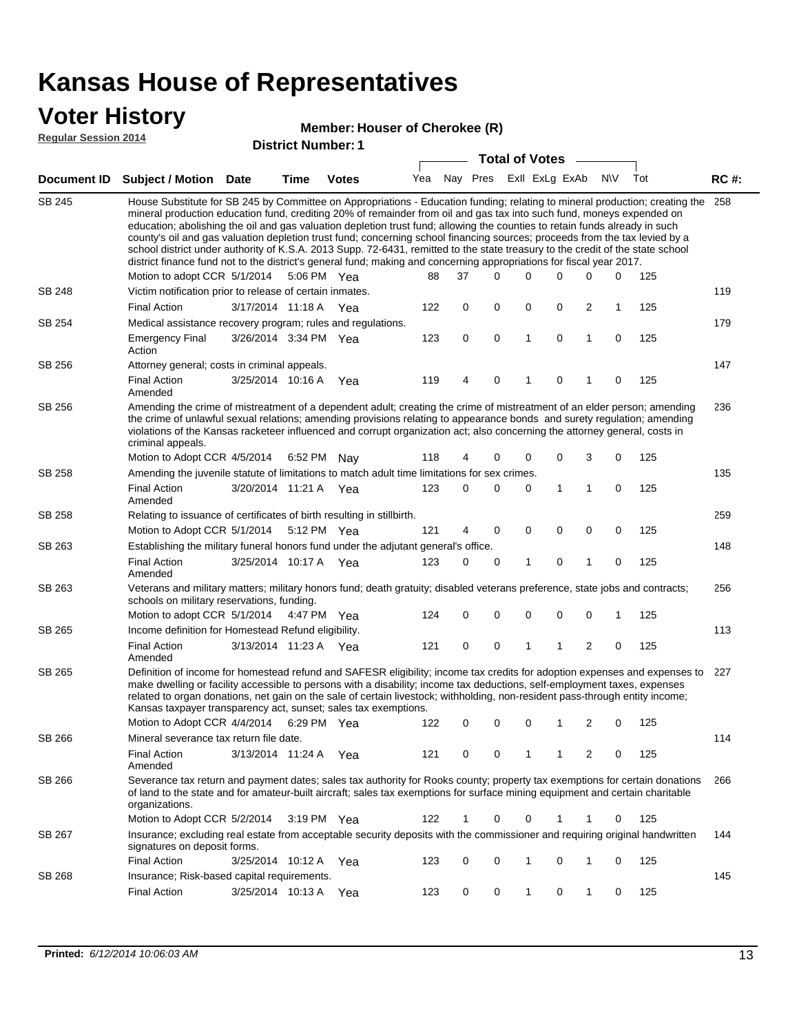#### **Voter History**

#### **District Number: Member: Houser of Cherokee (R)**

**Regular Session 2014**

| <u>Regular Session 2014</u> |                                                                                                                                                                                                                                                                                                                                                                                                                                                                                                                                                                                                                                                                                                                                                                                                               | <b>District Number: 1</b> |                       |              |     |                       |               |   |                |   |             |     |             |  |
|-----------------------------|---------------------------------------------------------------------------------------------------------------------------------------------------------------------------------------------------------------------------------------------------------------------------------------------------------------------------------------------------------------------------------------------------------------------------------------------------------------------------------------------------------------------------------------------------------------------------------------------------------------------------------------------------------------------------------------------------------------------------------------------------------------------------------------------------------------|---------------------------|-----------------------|--------------|-----|-----------------------|---------------|---|----------------|---|-------------|-----|-------------|--|
|                             |                                                                                                                                                                                                                                                                                                                                                                                                                                                                                                                                                                                                                                                                                                                                                                                                               |                           |                       |              |     | <b>Total of Votes</b> |               |   |                |   |             |     |             |  |
| Document ID                 | <b>Subject / Motion Date</b>                                                                                                                                                                                                                                                                                                                                                                                                                                                                                                                                                                                                                                                                                                                                                                                  |                           | Time                  | <b>Votes</b> |     |                       | Yea Nay Pres  |   | Exll ExLg ExAb |   | <b>NV</b>   | Tot | <b>RC#:</b> |  |
| <b>SB 245</b>               | House Substitute for SB 245 by Committee on Appropriations - Education funding; relating to mineral production; creating the<br>mineral production education fund, crediting 20% of remainder from oil and gas tax into such fund, moneys expended on<br>education; abolishing the oil and gas valuation depletion trust fund; allowing the counties to retain funds already in such<br>county's oil and gas valuation depletion trust fund; concerning school financing sources; proceeds from the tax levied by a<br>school district under authority of K.S.A. 2013 Supp. 72-6431, remitted to the state treasury to the credit of the state school<br>district finance fund not to the district's general fund; making and concerning appropriations for fiscal year 2017.<br>Motion to adopt CCR 5/1/2014 |                           |                       | 5:06 PM Yea  | 88  | 37                    | $\Omega$      | 0 | 0              | 0 | 0           | 125 | 258         |  |
| SB 248                      | Victim notification prior to release of certain inmates.                                                                                                                                                                                                                                                                                                                                                                                                                                                                                                                                                                                                                                                                                                                                                      |                           |                       |              |     |                       |               |   |                |   |             |     | 119         |  |
|                             | <b>Final Action</b>                                                                                                                                                                                                                                                                                                                                                                                                                                                                                                                                                                                                                                                                                                                                                                                           |                           |                       |              | 122 | 0                     | 0             | 0 | 0              | 2 | 1           | 125 |             |  |
| SB 254                      | 3/17/2014 11:18 A Yea<br>Medical assistance recovery program; rules and regulations.                                                                                                                                                                                                                                                                                                                                                                                                                                                                                                                                                                                                                                                                                                                          |                           |                       |              |     |                       |               |   |                |   |             |     | 179         |  |
|                             | <b>Emergency Final</b><br>Action                                                                                                                                                                                                                                                                                                                                                                                                                                                                                                                                                                                                                                                                                                                                                                              |                           | 3/26/2014 3:34 PM Yea |              | 123 | 0                     | 0             | 1 | 0              | 1 | 0           | 125 |             |  |
| SB 256                      | Attorney general; costs in criminal appeals.                                                                                                                                                                                                                                                                                                                                                                                                                                                                                                                                                                                                                                                                                                                                                                  |                           |                       |              |     |                       |               |   |                |   |             |     | 147         |  |
|                             | <b>Final Action</b><br>Amended                                                                                                                                                                                                                                                                                                                                                                                                                                                                                                                                                                                                                                                                                                                                                                                |                           | 3/25/2014 10:16 A     | Yea          | 119 | 4                     | 0             | 1 | 0              | 1 | 0           | 125 |             |  |
| SB 256                      | Amending the crime of mistreatment of a dependent adult; creating the crime of mistreatment of an elder person; amending<br>the crime of unlawful sexual relations; amending provisions relating to appearance bonds and surety regulation; amending<br>violations of the Kansas racketeer influenced and corrupt organization act; also concerning the attorney general, costs in<br>criminal appeals.                                                                                                                                                                                                                                                                                                                                                                                                       |                           |                       |              |     |                       |               |   |                |   |             |     | 236         |  |
|                             | Motion to Adopt CCR 4/5/2014                                                                                                                                                                                                                                                                                                                                                                                                                                                                                                                                                                                                                                                                                                                                                                                  |                           |                       | 6:52 PM Nay  | 118 | 4                     | 0             | 0 | 0              | 3 | 0           | 125 |             |  |
| SB 258                      | Amending the juvenile statute of limitations to match adult time limitations for sex crimes.                                                                                                                                                                                                                                                                                                                                                                                                                                                                                                                                                                                                                                                                                                                  |                           |                       |              |     |                       |               |   |                |   |             |     | 135         |  |
|                             | <b>Final Action</b><br>Amended                                                                                                                                                                                                                                                                                                                                                                                                                                                                                                                                                                                                                                                                                                                                                                                |                           | 3/20/2014 11:21 A Yea |              | 123 | 0                     | 0             | 0 | 1              | 1 | 0           | 125 |             |  |
| SB 258                      | Relating to issuance of certificates of birth resulting in stillbirth.                                                                                                                                                                                                                                                                                                                                                                                                                                                                                                                                                                                                                                                                                                                                        |                           |                       |              |     |                       |               |   |                |   |             |     | 259         |  |
|                             | Motion to Adopt CCR 5/1/2014                                                                                                                                                                                                                                                                                                                                                                                                                                                                                                                                                                                                                                                                                                                                                                                  |                           |                       | 5:12 PM Yea  | 121 | 4                     | 0             | 0 | 0              | 0 | $\mathbf 0$ | 125 |             |  |
| SB 263                      | Establishing the military funeral honors fund under the adjutant general's office.                                                                                                                                                                                                                                                                                                                                                                                                                                                                                                                                                                                                                                                                                                                            |                           |                       |              |     |                       |               |   |                |   |             |     | 148         |  |
|                             | <b>Final Action</b><br>Amended                                                                                                                                                                                                                                                                                                                                                                                                                                                                                                                                                                                                                                                                                                                                                                                |                           | 3/25/2014 10:17 A     | Yea          | 123 | 0                     | 0             | 1 | 0              | 1 | $\mathbf 0$ | 125 |             |  |
| SB 263                      | Veterans and military matters; military honors fund; death gratuity; disabled veterans preference, state jobs and contracts;<br>schools on military reservations, funding.                                                                                                                                                                                                                                                                                                                                                                                                                                                                                                                                                                                                                                    |                           |                       |              |     |                       |               |   |                |   |             |     | 256         |  |
|                             | Motion to adopt CCR 5/1/2014                                                                                                                                                                                                                                                                                                                                                                                                                                                                                                                                                                                                                                                                                                                                                                                  |                           |                       | 4:47 PM Yea  | 124 | 0                     | 0             | 0 | 0              | 0 | 1           | 125 |             |  |
| SB 265                      | Income definition for Homestead Refund eligibility.                                                                                                                                                                                                                                                                                                                                                                                                                                                                                                                                                                                                                                                                                                                                                           |                           |                       |              |     |                       |               |   |                |   |             |     | 113         |  |
|                             | <b>Final Action</b><br>Amended                                                                                                                                                                                                                                                                                                                                                                                                                                                                                                                                                                                                                                                                                                                                                                                |                           | 3/13/2014 11:23 A Yea |              | 121 | 0                     | 0             | 1 | 1              | 2 | 0           | 125 |             |  |
| SB 265                      | Definition of income for homestead refund and SAFESR eligibility; income tax credits for adoption expenses and expenses to<br>make dwelling or facility accessible to persons with a disability; income tax deductions, self-employment taxes, expenses<br>related to organ donations, net gain on the sale of certain livestock; withholding, non-resident pass-through entity income;<br>Kansas taxpayer transparency act, sunset; sales tax exemptions.<br>Motion to Adopt CCR 4/4/2014 6:29 PM Yea                                                                                                                                                                                                                                                                                                        |                           |                       |              |     |                       |               |   |                |   |             |     | 227         |  |
|                             |                                                                                                                                                                                                                                                                                                                                                                                                                                                                                                                                                                                                                                                                                                                                                                                                               |                           |                       |              |     |                       | 122 0 0 0 1 2 |   |                |   |             | 125 |             |  |
| SB 266                      | Mineral severance tax return file date.                                                                                                                                                                                                                                                                                                                                                                                                                                                                                                                                                                                                                                                                                                                                                                       |                           |                       |              |     |                       |               |   |                |   |             |     | 114         |  |
|                             | <b>Final Action</b><br>Amended                                                                                                                                                                                                                                                                                                                                                                                                                                                                                                                                                                                                                                                                                                                                                                                |                           | 3/13/2014 11:24 A Yea |              | 121 | 0                     | 0             | 1 | 1              | 2 | 0           | 125 |             |  |
| SB 266                      | Severance tax return and payment dates; sales tax authority for Rooks county; property tax exemptions for certain donations<br>of land to the state and for amateur-built aircraft; sales tax exemptions for surface mining equipment and certain charitable<br>organizations.                                                                                                                                                                                                                                                                                                                                                                                                                                                                                                                                |                           |                       |              |     |                       |               |   |                |   |             |     | 266         |  |
|                             | Motion to Adopt CCR 5/2/2014                                                                                                                                                                                                                                                                                                                                                                                                                                                                                                                                                                                                                                                                                                                                                                                  |                           |                       | 3:19 PM Yea  | 122 | 1                     | 0             | 0 | 1              | 1 | 0           | 125 |             |  |
| SB 267                      | Insurance; excluding real estate from acceptable security deposits with the commissioner and requiring original handwritten<br>signatures on deposit forms.                                                                                                                                                                                                                                                                                                                                                                                                                                                                                                                                                                                                                                                   |                           |                       |              |     |                       |               |   |                |   |             |     | 144         |  |
|                             | <b>Final Action</b>                                                                                                                                                                                                                                                                                                                                                                                                                                                                                                                                                                                                                                                                                                                                                                                           |                           | 3/25/2014 10:12 A     | Yea          | 123 | 0                     | 0             | 1 | 0              | 1 | 0           | 125 |             |  |
| SB 268                      | Insurance; Risk-based capital requirements.                                                                                                                                                                                                                                                                                                                                                                                                                                                                                                                                                                                                                                                                                                                                                                   |                           |                       |              |     |                       |               |   |                |   |             |     | 145         |  |
|                             | <b>Final Action</b>                                                                                                                                                                                                                                                                                                                                                                                                                                                                                                                                                                                                                                                                                                                                                                                           |                           | 3/25/2014 10:13 A     | Yea          | 123 | 0                     | 0             | 1 | 0              | 1 | 0           | 125 |             |  |
|                             |                                                                                                                                                                                                                                                                                                                                                                                                                                                                                                                                                                                                                                                                                                                                                                                                               |                           |                       |              |     |                       |               |   |                |   |             |     |             |  |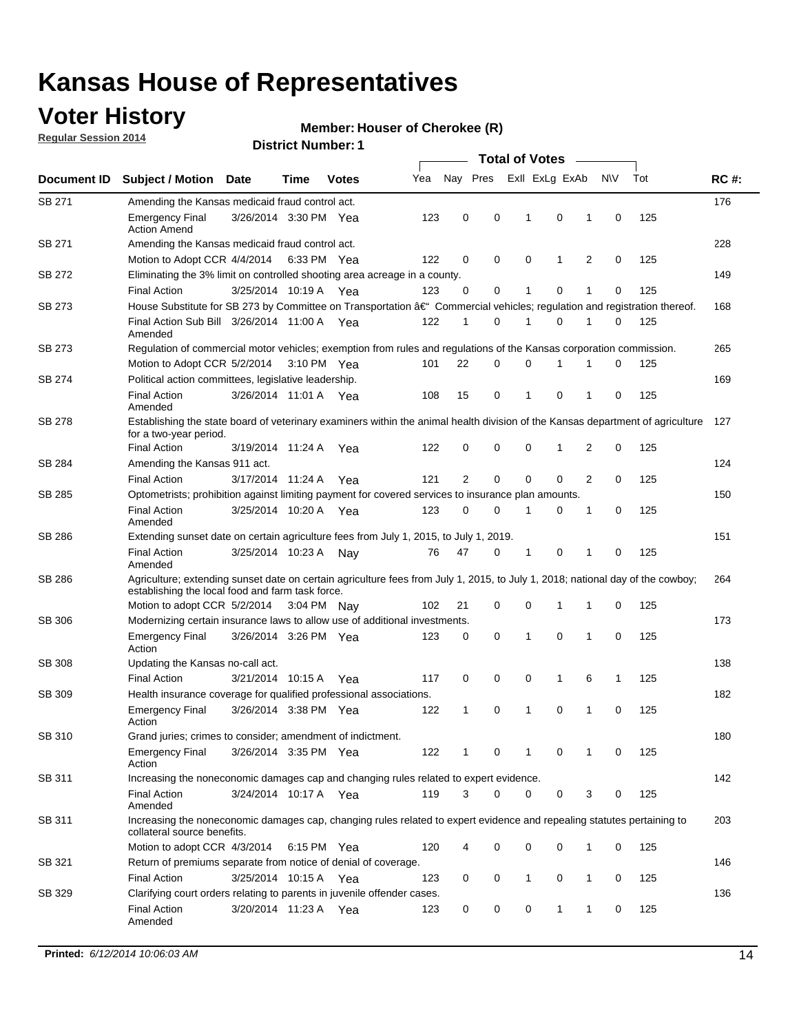### **Voter History**

**Regular Session 2014**

#### **Member: Houser of Cherokee (R)**

|               |                                                                                                                                                                                    |                       |      |              | <b>Total of Votes</b> |    |          |  |                |             |                |             |     |             |
|---------------|------------------------------------------------------------------------------------------------------------------------------------------------------------------------------------|-----------------------|------|--------------|-----------------------|----|----------|--|----------------|-------------|----------------|-------------|-----|-------------|
| Document ID   | <b>Subject / Motion Date</b>                                                                                                                                                       |                       | Time | <b>Votes</b> | Yea                   |    | Nay Pres |  | Exll ExLg ExAb |             |                | <b>NV</b>   | Tot | <b>RC#:</b> |
| SB 271        | Amending the Kansas medicaid fraud control act.                                                                                                                                    |                       |      |              |                       |    |          |  |                |             |                |             |     | 176         |
|               | <b>Emergency Final</b><br><b>Action Amend</b>                                                                                                                                      | 3/26/2014 3:30 PM Yea |      |              | 123                   | 0  | 0        |  | 1              | 0           | 1              | 0           | 125 |             |
| SB 271        | Amending the Kansas medicaid fraud control act.                                                                                                                                    |                       |      |              |                       |    |          |  |                |             |                |             |     | 228         |
|               | Motion to Adopt CCR 4/4/2014 6:33 PM Yea                                                                                                                                           |                       |      |              | 122                   | 0  | 0        |  | 0              | 1           | 2              | 0           | 125 |             |
| SB 272        | Eliminating the 3% limit on controlled shooting area acreage in a county.                                                                                                          |                       |      |              |                       |    |          |  |                |             |                |             |     | 149         |
|               | <b>Final Action</b>                                                                                                                                                                | 3/25/2014 10:19 A Yea |      |              | 123                   | 0  | 0        |  | 1              | 0           | 1              | 0           | 125 |             |
| SB 273        | House Substitute for SB 273 by Committee on Transportation †Commercial vehicles; regulation and registration thereof.                                                              |                       |      |              |                       |    |          |  |                |             |                |             |     | 168         |
|               | Final Action Sub Bill 3/26/2014 11:00 A Yea<br>Amended                                                                                                                             |                       |      |              | 122                   | 1  | 0        |  | 1              | 0           | 1              | 0           | 125 |             |
| SB 273        | Regulation of commercial motor vehicles; exemption from rules and regulations of the Kansas corporation commission.                                                                |                       |      |              |                       |    |          |  |                |             |                |             |     | 265         |
|               | Motion to Adopt CCR 5/2/2014 3:10 PM Yea                                                                                                                                           |                       |      |              | 101                   | 22 | 0        |  | 0              | 1           | 1              | 0           | 125 |             |
| SB 274        | Political action committees, legislative leadership.                                                                                                                               |                       |      |              |                       |    |          |  |                |             |                |             |     | 169         |
|               | <b>Final Action</b><br>Amended                                                                                                                                                     | 3/26/2014 11:01 A Yea |      |              | 108                   | 15 | 0        |  | -1             | 0           | 1              | 0           | 125 |             |
| SB 278        | Establishing the state board of veterinary examiners within the animal health division of the Kansas department of agriculture<br>for a two-year period.                           |                       |      |              |                       |    |          |  |                |             |                |             |     | 127         |
|               | <b>Final Action</b>                                                                                                                                                                | 3/19/2014 11:24 A     |      | Yea          | 122                   | 0  | 0        |  | 0              | 1           | 2              | 0           | 125 |             |
| SB 284        | Amending the Kansas 911 act.                                                                                                                                                       |                       |      |              |                       |    |          |  |                |             |                |             |     | 124         |
|               | <b>Final Action</b>                                                                                                                                                                | 3/17/2014 11:24 A     |      | Yea          | 121                   | 2  | 0        |  | 0              | $\mathbf 0$ | $\overline{2}$ | 0           | 125 |             |
| SB 285        | Optometrists; prohibition against limiting payment for covered services to insurance plan amounts.                                                                                 |                       |      |              |                       |    |          |  |                |             |                |             |     | 150         |
|               | <b>Final Action</b><br>Amended                                                                                                                                                     | 3/25/2014 10:20 A Yea |      |              | 123                   | 0  | 0        |  | $\mathbf 1$    | 0           | 1              | 0           | 125 |             |
| SB 286        | Extending sunset date on certain agriculture fees from July 1, 2015, to July 1, 2019.                                                                                              |                       |      |              |                       |    |          |  |                |             |                |             |     | 151         |
|               | <b>Final Action</b><br>Amended                                                                                                                                                     | 3/25/2014 10:23 A     |      | Nay          | 76                    | 47 | 0        |  | $\mathbf{1}$   | 0           | 1              | $\mathbf 0$ | 125 |             |
| SB 286        | Agriculture; extending sunset date on certain agriculture fees from July 1, 2015, to July 1, 2018; national day of the cowboy;<br>establishing the local food and farm task force. |                       |      |              |                       |    |          |  |                |             |                |             |     | 264         |
|               | Motion to adopt CCR 5/2/2014 3:04 PM Nay                                                                                                                                           |                       |      |              | 102                   | 21 | 0        |  | 0              | $\mathbf 1$ | 1              | 0           | 125 |             |
| SB 306        | Modernizing certain insurance laws to allow use of additional investments.                                                                                                         |                       |      |              |                       |    |          |  |                |             |                |             |     | 173         |
|               | <b>Emergency Final</b><br>Action                                                                                                                                                   | 3/26/2014 3:26 PM Yea |      |              | 123                   | 0  | 0        |  | 1              | $\mathbf 0$ | 1              | 0           | 125 |             |
| <b>SB 308</b> | Updating the Kansas no-call act.                                                                                                                                                   |                       |      |              |                       |    |          |  |                |             |                |             |     | 138         |
|               | <b>Final Action</b>                                                                                                                                                                | 3/21/2014 10:15 A     |      | Yea          | 117                   | 0  | 0        |  | 0              | 1           | 6              | 1           | 125 |             |
| SB 309        | Health insurance coverage for qualified professional associations.                                                                                                                 |                       |      |              |                       |    |          |  |                |             |                |             |     | 182         |
|               | <b>Emergency Final</b><br>Action                                                                                                                                                   | 3/26/2014 3:38 PM Yea |      |              | 122                   | 1  | 0        |  | $\mathbf{1}$   | 0           | 1              | $\mathbf 0$ | 125 |             |
| SB 310        | Grand juries; crimes to consider; amendment of indictment.                                                                                                                         |                       |      |              |                       |    |          |  |                |             |                |             |     | 180         |
|               | <b>Emergency Final</b><br>Action                                                                                                                                                   | 3/26/2014 3:35 PM Yea |      |              | 122                   | 1  | 0        |  | 1              | 0           | 1              | 0           | 125 |             |
| SB 311        | Increasing the noneconomic damages cap and changing rules related to expert evidence.                                                                                              |                       |      |              |                       |    |          |  |                |             |                |             |     | 142         |
|               | <b>Final Action</b><br>Amended                                                                                                                                                     | 3/24/2014 10:17 A Yea |      |              | 119                   | 3  | 0        |  | 0              | 0           | 3              | 0           | 125 |             |
| SB 311        | Increasing the noneconomic damages cap, changing rules related to expert evidence and repealing statutes pertaining to<br>collateral source benefits.                              |                       |      |              |                       |    |          |  |                |             |                |             |     | 203         |
|               | Motion to adopt CCR 4/3/2014 6:15 PM Yea                                                                                                                                           |                       |      |              | 120                   | 4  | 0        |  | 0              | 0           | 1              | 0           | 125 |             |
| SB 321        | Return of premiums separate from notice of denial of coverage.                                                                                                                     |                       |      |              |                       |    |          |  |                |             |                |             |     | 146         |
|               | <b>Final Action</b>                                                                                                                                                                | 3/25/2014 10:15 A Yea |      |              | 123                   | 0  | 0        |  | 1              | 0           | 1              | 0           | 125 |             |
| SB 329        | Clarifying court orders relating to parents in juvenile offender cases.<br><b>Final Action</b><br>Amended                                                                          | 3/20/2014 11:23 A Yea |      |              | 123                   | 0  | 0        |  | 0              | 1           | 1              | 0           | 125 | 136         |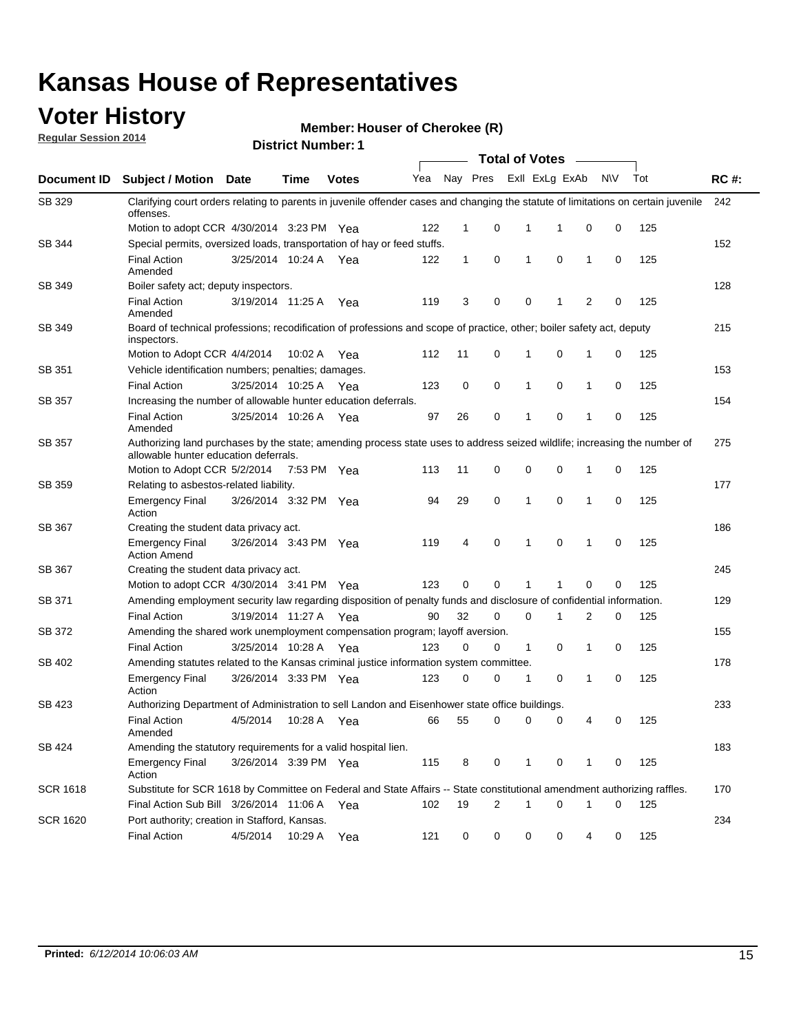### **Voter History**

**Regular Session 2014**

**Member: Houser of Cherokee (R)** 

|                 | <b>Total of Votes</b>                                                                                                                                              |                       |             |              |     |              |                |                         |             |              |           |     |             |
|-----------------|--------------------------------------------------------------------------------------------------------------------------------------------------------------------|-----------------------|-------------|--------------|-----|--------------|----------------|-------------------------|-------------|--------------|-----------|-----|-------------|
| Document ID     | <b>Subject / Motion Date</b>                                                                                                                                       |                       | Time        | <b>Votes</b> | Yea |              |                | Nay Pres ExII ExLg ExAb |             |              | <b>NV</b> | Tot | <b>RC#:</b> |
| SB 329          | Clarifying court orders relating to parents in juvenile offender cases and changing the statute of limitations on certain juvenile<br>offenses.                    |                       |             |              |     |              |                |                         |             |              |           |     | 242         |
|                 | Motion to adopt CCR 4/30/2014 3:23 PM Yea                                                                                                                          |                       |             |              | 122 | $\mathbf 1$  | 0              | 1                       | -1          | $\mathbf 0$  | 0         | 125 |             |
| SB 344          | Special permits, oversized loads, transportation of hay or feed stuffs.                                                                                            |                       |             |              |     |              |                |                         |             |              |           |     | 152         |
|                 | <b>Final Action</b><br>Amended                                                                                                                                     | 3/25/2014 10:24 A     |             | Yea          | 122 | $\mathbf{1}$ | 0              | 1                       | $\mathbf 0$ | $\mathbf{1}$ | 0         | 125 |             |
| SB 349          | Boiler safety act; deputy inspectors.                                                                                                                              |                       |             |              |     |              |                |                         |             |              |           |     | 128         |
|                 | <b>Final Action</b><br>Amended                                                                                                                                     | 3/19/2014 11:25 A     |             | Yea          | 119 | 3            | 0              | 0                       | 1           | 2            | 0         | 125 |             |
| <b>SB 349</b>   | Board of technical professions; recodification of professions and scope of practice, other; boiler safety act, deputy<br>inspectors.                               |                       |             |              |     |              |                |                         |             |              |           |     | 215         |
|                 | Motion to Adopt CCR 4/4/2014                                                                                                                                       |                       | 10:02 A     | Yea          | 112 | 11           | 0              | 1                       | 0           | 1            | 0         | 125 |             |
| SB 351          | Vehicle identification numbers; penalties; damages.                                                                                                                |                       |             |              |     |              |                |                         |             |              |           |     | 153         |
|                 | <b>Final Action</b>                                                                                                                                                | 3/25/2014 10:25 A     |             | Yea          | 123 | 0            | 0              | 1                       | 0           | 1            | 0         | 125 |             |
| <b>SB 357</b>   | Increasing the number of allowable hunter education deferrals.                                                                                                     |                       |             |              |     |              |                |                         |             |              |           |     | 154         |
|                 | <b>Final Action</b><br>Amended                                                                                                                                     | 3/25/2014 10:26 A     |             | Yea          | 97  | 26           | 0              | 1                       | 0           | 1            | 0         | 125 |             |
| SB 357          | Authorizing land purchases by the state; amending process state uses to address seized wildlife; increasing the number of<br>allowable hunter education deferrals. |                       |             |              |     |              |                |                         |             |              |           |     | 275         |
|                 | Motion to Adopt CCR 5/2/2014                                                                                                                                       |                       | 7:53 PM Yea |              | 113 | 11           | 0              | 0                       | 0           | 1            | 0         | 125 |             |
| SB 359          | Relating to asbestos-related liability.                                                                                                                            |                       |             |              |     |              |                |                         |             |              |           |     | 177         |
|                 | <b>Emergency Final</b><br>Action                                                                                                                                   | 3/26/2014 3:32 PM Yea |             |              | 94  | 29           | 0              | 1                       | 0           | 1            | 0         | 125 |             |
| SB 367          | Creating the student data privacy act.                                                                                                                             |                       |             |              |     |              |                |                         |             |              |           |     | 186         |
|                 | <b>Emergency Final</b><br><b>Action Amend</b>                                                                                                                      | 3/26/2014 3:43 PM Yea |             |              | 119 | 4            | 0              | 1                       | 0           | 1            | 0         | 125 |             |
| <b>SB 367</b>   | Creating the student data privacy act.                                                                                                                             |                       |             |              |     |              |                |                         |             |              |           |     | 245         |
|                 | Motion to adopt CCR 4/30/2014 3:41 PM Yea                                                                                                                          |                       |             |              | 123 | 0            | 0              | 1                       | 1           | 0            | 0         | 125 |             |
| SB 371          | Amending employment security law regarding disposition of penalty funds and disclosure of confidential information.                                                |                       |             |              |     |              |                |                         |             |              |           |     | 129         |
|                 | <b>Final Action</b>                                                                                                                                                | 3/19/2014 11:27 A Yea |             |              | 90  | 32           | 0              | $\mathbf 0$             | 1           | 2            | 0         | 125 |             |
| SB 372          | Amending the shared work unemployment compensation program; layoff aversion.                                                                                       |                       |             |              |     |              |                |                         |             |              |           |     | 155         |
|                 | <b>Final Action</b>                                                                                                                                                | 3/25/2014 10:28 A     |             | Yea          | 123 | 0            | 0              | $\mathbf{1}$            | 0           | 1            | 0         | 125 |             |
| SB 402          | Amending statutes related to the Kansas criminal justice information system committee.                                                                             |                       |             |              |     |              |                |                         |             |              |           |     | 178         |
|                 | <b>Emergency Final</b><br>Action                                                                                                                                   | 3/26/2014 3:33 PM Yea |             |              | 123 | 0            | 0              | 1                       | 0           | 1            | 0         | 125 |             |
| SB 423          | Authorizing Department of Administration to sell Landon and Eisenhower state office buildings.                                                                     |                       |             |              |     |              |                |                         |             |              |           |     | 233         |
|                 | <b>Final Action</b><br>Amended                                                                                                                                     | 4/5/2014              | 10:28 A     | Yea          | 66  | 55           | 0              | 0                       | 0           | 4            | 0         | 125 |             |
| SB 424          | Amending the statutory requirements for a valid hospital lien.                                                                                                     |                       |             |              |     |              |                |                         |             |              |           |     | 183         |
|                 | <b>Emergency Final</b><br>Action                                                                                                                                   | 3/26/2014 3:39 PM Yea |             |              | 115 | 8            | 0              | 1                       | 0           | 1            | 0         | 125 |             |
| <b>SCR 1618</b> | Substitute for SCR 1618 by Committee on Federal and State Affairs -- State constitutional amendment authorizing raffles.                                           |                       |             |              |     |              |                |                         |             |              |           |     | 170         |
|                 | Final Action Sub Bill 3/26/2014 11:06 A Yea                                                                                                                        |                       |             |              | 102 | 19           | $\overline{2}$ | 1                       | 0           | 1            | 0         | 125 |             |
| <b>SCR 1620</b> | Port authority; creation in Stafford, Kansas.                                                                                                                      |                       |             |              |     |              |                |                         |             |              |           |     | 234         |
|                 | <b>Final Action</b>                                                                                                                                                | 4/5/2014              | 10:29 A Yea |              | 121 | 0            | 0              | 0                       | 0           | 4            | 0         | 125 |             |